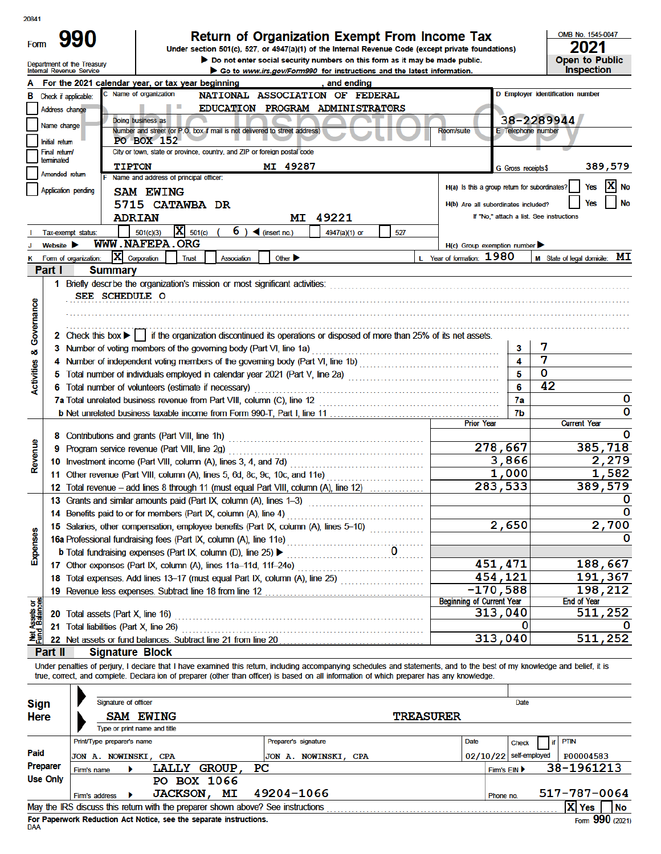20841

| ZUU+ I |  |
|--------|--|
| om     |  |

# Return of Organization Exempt From Income Tax<br>Under section 501(c), 527, or 4947(a)(1) of the Internal Revenue Code (except private foundations)

Do not enter social security numbers on this form as it may be made public.

OMB No. 1545-0047  $2021$ <br>Open to Public

| Department of the Treasury<br>Internal Revenue Service<br>Go to www.irs.gov/Form990 for instructions and the latest information.                                                             |                                                  | <b>Inspection</b>                |
|----------------------------------------------------------------------------------------------------------------------------------------------------------------------------------------------|--------------------------------------------------|----------------------------------|
| For the 2021 calendar year, or tax year beginning<br>and ending                                                                                                                              |                                                  |                                  |
| C Name of organization<br>NATIONAL ASSOCIATION OF FEDERAL<br>Check if applicable:<br>в                                                                                                       |                                                  | D Employer identification number |
| EDUCATION PROGRAM ADMINISTRATORS<br>Address change                                                                                                                                           |                                                  |                                  |
| Doing business as<br>Name change                                                                                                                                                             |                                                  | 38-2289944                       |
| Number and street (or P.O. box if mail is not delivered to street address)<br>PO BOX 152<br>Initial return                                                                                   | <b>E</b> Telephone number<br><b>Room/suite</b>   |                                  |
| City or town, state or province, country, and ZIP or foreign postal code<br>Final return/                                                                                                    |                                                  |                                  |
| terminated<br>MI 49287<br><b>TIPTON</b>                                                                                                                                                      | G Gross receipts\$                               | 389,579                          |
| Amended return<br>F Name and address of principal officer:                                                                                                                                   |                                                  |                                  |
| Application pending<br><b>SAM EWING</b>                                                                                                                                                      | H(a) Is this a group return for subordinates?    | x<br>Yes<br><b>No</b>            |
| 5715 CATAWBA DR                                                                                                                                                                              | No<br>Yes<br>H(b) Are all subordinates included? |                                  |
| MI 49221<br><b>ADRIAN</b>                                                                                                                                                                    | If "No," attach a list. See instructions         |                                  |
| $\mathbf{X}$ 501(c)<br>6) $\blacktriangleleft$ (insert no.)<br>501(c)(3)<br>4947(a)(1) or<br>527<br>Tax-exempt status:                                                                       |                                                  |                                  |
| WWW.NAFEPA.ORG<br>Website $\blacktriangleright$                                                                                                                                              | $H(c)$ Group exemption number                    |                                  |
| IХ<br>Corporation<br>Other $\blacktriangleright$<br>Form of organization:<br>Trust<br>Association                                                                                            | L Year of formation: 1980                        | M State of legal domicile: MI    |
| Part I<br><b>Summary</b>                                                                                                                                                                     |                                                  |                                  |
| 1 Briefly descrbe the organization's mission or most significant activities:                                                                                                                 |                                                  |                                  |
| SEE SCHEDULE O                                                                                                                                                                               |                                                  |                                  |
|                                                                                                                                                                                              |                                                  |                                  |
| Governance                                                                                                                                                                                   |                                                  |                                  |
| 2 Check this box     if the organization discontinued its operations or disposed of more than 25% of its net assets.                                                                         |                                                  | 7                                |
| 3 Number of voting members of the governing body (Part VI, line 1a)<br>ಯ                                                                                                                     | 3<br>$\boldsymbol{\Lambda}$                      | 7                                |
| 4 Number of independent voting members of the governing body (Part VI, line 1b)<br>5 Total number of individuals employed in calendar year 2021 (Part V, line 2a)                            | 5                                                | $\bf{0}$                         |
| Activities<br>6 Total number of volunteers (estimate if necessary)                                                                                                                           | 6                                                | 42                               |
| 7a Total unrelated business revenue from Part VIII, column (C), line 12                                                                                                                      | 7a                                               | 0                                |
|                                                                                                                                                                                              | 7b                                               | 0                                |
|                                                                                                                                                                                              | <b>Prior Year</b>                                | <b>Current Year</b>              |
| 8 Contributions and grants (Part VIII, line 1h)                                                                                                                                              |                                                  |                                  |
| Revenue<br>9 Program service revenue (Part VIII, line 2g)                                                                                                                                    | 278,667                                          | 385,718                          |
| 10 Investment income (Part VIII, column (A), lines 3, 4, and 7d)                                                                                                                             | 3,866                                            | 2,279                            |
| 11 Other revenue (Part VIII, column (A), lines 5, 6d, 8c, 9c, 10c, and 11e)                                                                                                                  | 1,000                                            | 1,582                            |
| 12 Total revenue - add lines 8 through 11 (must equal Part VIII, column (A), line 12)                                                                                                        | 283,533                                          | 389,579                          |
| 13 Grants and similar amounts paid (Part IX, column (A), lines 1-3)<br><u> 1966 - Johann Stoff, Amerikaansk ferstjer op de ferstjer op de ferstjer op de ferstjer op de ferstjer op de f</u> |                                                  |                                  |
| 14 Benefits paid to or for members (Part IX, column (A), line 4)                                                                                                                             | $\overline{2}$ , 650                             | 2,700                            |
| 15 Salaries, other compensation, employee benefits (Part IX, column (A), lines 5-10)<br>nses                                                                                                 |                                                  | 0                                |
| 16a Professional fundraising fees (Part IX, column (A), line 11e)<br>0                                                                                                                       |                                                  |                                  |
| Exper<br><b>b</b> Total fundraising expenses (Part IX, column (D), line 25) ▶                                                                                                                | 451,471                                          | 188,667                          |
| 17 Other expenses (Part IX, column (A), lines 11a-11d, 11f-24e)                                                                                                                              | 454,121                                          | 191,367                          |
| 18 Total expenses. Add lines 13-17 (must equal Part IX, column (A), line 25)                                                                                                                 | $-170,588$                                       | 198,212                          |
|                                                                                                                                                                                              | <b>Beginning of Current Year</b>                 | <b>End of Year</b>               |
| Total assets (Part X, line 16)<br>20                                                                                                                                                         | 313,040                                          | 511,252                          |
| 21 Total liabilities (Part X, line 26)                                                                                                                                                       | 0                                                |                                  |
| Net Assets or<br>Fund Balances<br>22 Net assets or fund balances. Subtract line 21 from line 20                                                                                              | 313,040                                          | 511,252                          |
| <b>Signature Block</b><br>Part II                                                                                                                                                            |                                                  |                                  |

Under penalties of perjury, I declare that I have examined this return, including accompanying schedules and statements, and to the best of my knowledge and belief, it is true, correct, and complete. Declara ion of preparer (other than officer) is based on all information of which preparer has any knowledge.  $\overline{\phantom{0}}$ 

| <b>Sign</b> |                            | Signature of officer                 |                                                                   | Date |    |    |                                                                                 |      |  |                          |           |            |              |
|-------------|----------------------------|--------------------------------------|-------------------------------------------------------------------|------|----|----|---------------------------------------------------------------------------------|------|--|--------------------------|-----------|------------|--------------|
| <b>Here</b> |                            | <b>SAM EWING</b><br><b>TREASURER</b> |                                                                   |      |    |    |                                                                                 |      |  |                          |           |            |              |
|             |                            | Type or print name and title         |                                                                   |      |    |    |                                                                                 |      |  |                          |           |            |              |
|             | Print/Type preparer's name |                                      |                                                                   |      |    |    | Preparer's signature                                                            | Date |  |                          |           |            |              |
| Paid        |                            |                                      | JON A. NOWINSKI, CPA                                              |      |    |    | JON A. NOWINSKI, CPA                                                            |      |  | $02/10/22$ self-employed | P00004583 |            |              |
| Preparer    | Firm's name                |                                      | LALLY GROUP                                                       |      |    | PС |                                                                                 |      |  | Firm's EIN ▶             |           | 38-1961213 |              |
| Use Only    |                            |                                      | PO BOX 1066                                                       |      |    |    |                                                                                 |      |  |                          |           |            |              |
|             | Firm's address             |                                      | <b>JACKSON,</b>                                                   |      | МI |    | 49204-1066                                                                      |      |  | Phone no.                |           |            | 517-787-0064 |
|             |                            |                                      |                                                                   |      |    |    | May the IRS discuss this return with the preparer shown above? See instructions |      |  |                          |           | X Yes      | <b>No</b>    |
|             |                            |                                      | Fee Benemical Bediration Act Notice, and the expends includedness |      |    |    |                                                                                 |      |  |                          |           |            | റററ          |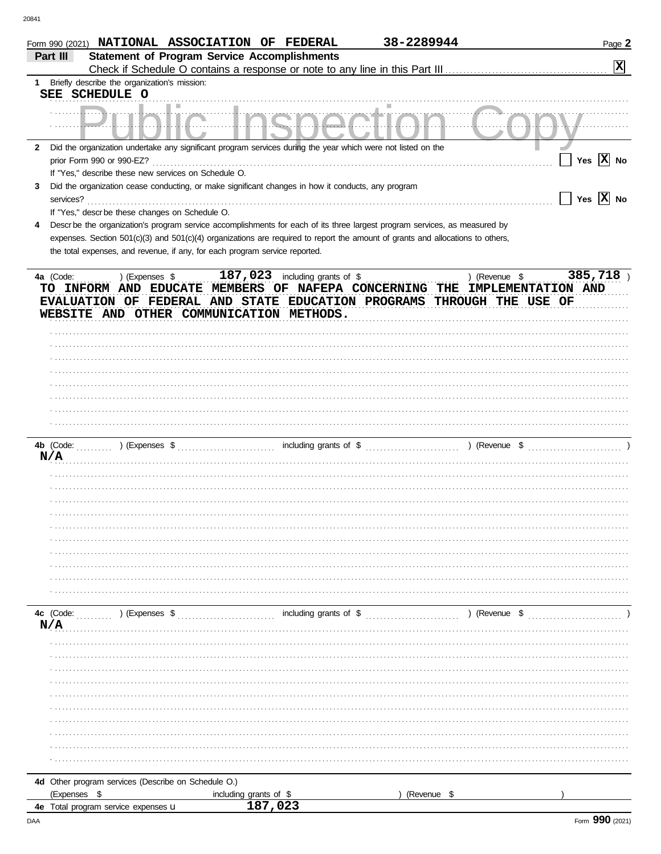| Part III         | Form 990 (2021) NATIONAL ASSOCIATION OF FEDERAL<br><b>Statement of Program Service Accomplishments</b>                                                                                            |                        |                                    | 38-2289944 |               | Page 2<br>$\overline{\mathbf{x}}$ |
|------------------|---------------------------------------------------------------------------------------------------------------------------------------------------------------------------------------------------|------------------------|------------------------------------|------------|---------------|-----------------------------------|
|                  | 1 Briefly describe the organization's mission:                                                                                                                                                    |                        |                                    |            |               |                                   |
|                  | SEE SCHEDULE O                                                                                                                                                                                    |                        |                                    |            |               |                                   |
|                  |                                                                                                                                                                                                   |                        |                                    |            |               |                                   |
| $\mathbf{2}$     | Did the organization undertake any significant program services during the year which were not listed on the<br>prior Form 990 or 990-EZ?<br>If "Yes," describe these new services on Schedule O. |                        |                                    |            |               | Yes $ \overline{X} $ No           |
| 3<br>services?   | Did the organization cease conducting, or make significant changes in how it conducts, any program<br>If "Yes," descr be these changes on Schedule O.                                             |                        |                                    |            |               | Yes $\overline{X}$ No             |
| 4                | Descr be the organization's program service accomplishments for each of its three largest program services, as measured by                                                                        |                        |                                    |            |               |                                   |
|                  | expenses. Section 501(c)(3) and 501(c)(4) organizations are required to report the amount of grants and allocations to others,                                                                    |                        |                                    |            |               |                                   |
|                  | the total expenses, and revenue, if any, for each program service reported.                                                                                                                       |                        |                                    |            |               |                                   |
| 4a (Code:        | ) (Expenses \$<br>TO INFORM AND EDUCATE MEMBERS OF NAFEPA CONCERNING THE IMPLEMENTATION AND<br>EVALUATION OF FEDERAL AND STATE EDUCATION PROGRAMS THROUGH THE USE OF                              |                        | $187$ , 023 including grants of \$ |            | ) (Revenue \$ | 385,718)                          |
|                  | WEBSITE AND OTHER COMMUNICATION METHODS.                                                                                                                                                          |                        |                                    |            |               |                                   |
|                  |                                                                                                                                                                                                   |                        |                                    |            |               |                                   |
|                  |                                                                                                                                                                                                   |                        |                                    |            |               |                                   |
|                  |                                                                                                                                                                                                   |                        |                                    |            |               |                                   |
|                  |                                                                                                                                                                                                   |                        |                                    |            |               |                                   |
|                  |                                                                                                                                                                                                   |                        |                                    |            |               |                                   |
|                  |                                                                                                                                                                                                   |                        |                                    |            |               |                                   |
|                  |                                                                                                                                                                                                   |                        |                                    |            |               |                                   |
|                  |                                                                                                                                                                                                   |                        |                                    |            |               |                                   |
| 4b (Code:        | $\sum_{i=1}^{n}$ (Expenses \$                                                                                                                                                                     |                        |                                    |            |               |                                   |
| N/A              |                                                                                                                                                                                                   |                        |                                    |            |               |                                   |
|                  |                                                                                                                                                                                                   |                        |                                    |            |               |                                   |
|                  |                                                                                                                                                                                                   |                        |                                    |            |               |                                   |
|                  |                                                                                                                                                                                                   |                        |                                    |            |               |                                   |
|                  |                                                                                                                                                                                                   |                        |                                    |            |               |                                   |
|                  |                                                                                                                                                                                                   |                        |                                    |            |               |                                   |
|                  |                                                                                                                                                                                                   |                        |                                    |            |               |                                   |
|                  |                                                                                                                                                                                                   |                        |                                    |            |               |                                   |
|                  |                                                                                                                                                                                                   |                        |                                    |            |               |                                   |
|                  |                                                                                                                                                                                                   |                        |                                    |            |               |                                   |
|                  |                                                                                                                                                                                                   |                        |                                    |            |               |                                   |
|                  |                                                                                                                                                                                                   |                        |                                    |            |               |                                   |
| 4c (Code:<br>N/A | ) (Expenses \$                                                                                                                                                                                    |                        | including grants of \$             |            | ) (Revenue \$ |                                   |
|                  |                                                                                                                                                                                                   |                        |                                    |            |               |                                   |
|                  |                                                                                                                                                                                                   |                        |                                    |            |               |                                   |
|                  |                                                                                                                                                                                                   |                        |                                    |            |               |                                   |
|                  |                                                                                                                                                                                                   |                        |                                    |            |               |                                   |
|                  |                                                                                                                                                                                                   |                        |                                    |            |               |                                   |
|                  |                                                                                                                                                                                                   |                        |                                    |            |               |                                   |
|                  |                                                                                                                                                                                                   |                        |                                    |            |               |                                   |
|                  |                                                                                                                                                                                                   |                        |                                    |            |               |                                   |
|                  |                                                                                                                                                                                                   |                        |                                    |            |               |                                   |
|                  |                                                                                                                                                                                                   |                        |                                    |            |               |                                   |
|                  | 4d Other program services (Describe on Schedule O.)                                                                                                                                               |                        |                                    |            |               |                                   |
| (Expenses \$     |                                                                                                                                                                                                   | including grants of \$ |                                    |            | (Revenue \$   |                                   |
|                  | 4e Total program service expenses u                                                                                                                                                               |                        |                                    |            |               |                                   |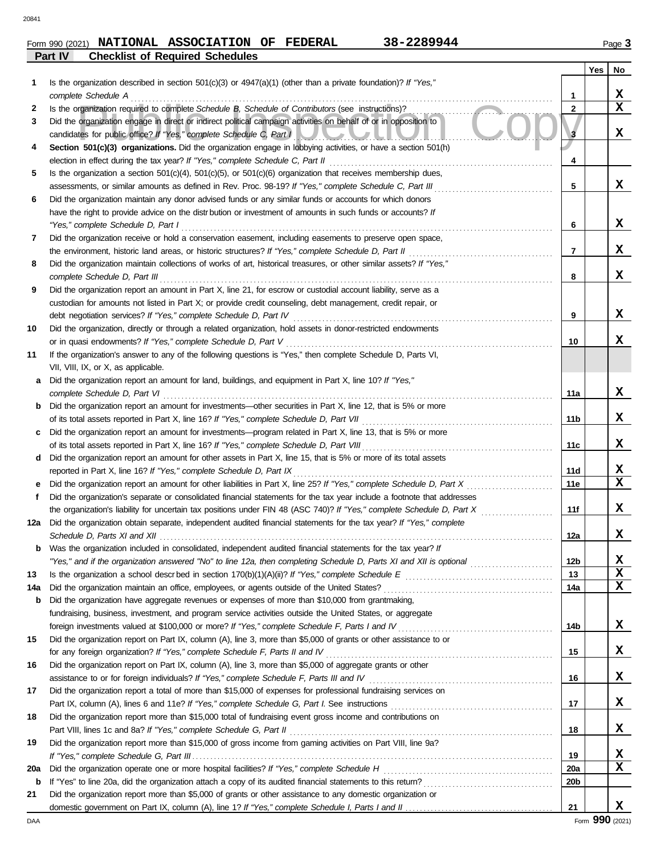### **Part IV Checklist of Required Schedules Form 990 (2021) NATIONAL ASSOCIATION OF FEDERAL 38-2289944** Page 3

| 38-2289944 |  |
|------------|--|
|------------|--|

|     |                                                                                                                         |                | Yes | No |
|-----|-------------------------------------------------------------------------------------------------------------------------|----------------|-----|----|
| 1   | Is the organization described in section $501(c)(3)$ or $4947(a)(1)$ (other than a private foundation)? If "Yes,"       |                |     |    |
|     | complete Schedule A                                                                                                     | 1              |     | X. |
| 2   | Is the organization required to complete Schedule B, Schedule of Contributors (see instructions)?                       | $\mathbf{2}$   |     | x  |
| 3   | Did the organization engage in direct or indirect political campaign activities on behalf of or in opposition to        |                |     |    |
|     | candidates for public office? If "Yes," complete Schedule C, Part I                                                     |                |     | X. |
| 4   | Section 501(c)(3) organizations. Did the organization engage in lobbying activities, or have a section 501(h)           |                |     |    |
|     |                                                                                                                         | 4              |     |    |
| 5   | Is the organization a section $501(c)(4)$ , $501(c)(5)$ , or $501(c)(6)$ organization that receives membership dues,    |                |     |    |
|     | assessments, or similar amounts as defined in Rev. Proc. 98-19? If "Yes," complete Schedule C, Part III                 | 5              |     | x  |
| 6   | Did the organization maintain any donor advised funds or any similar funds or accounts for which donors                 |                |     |    |
|     | have the right to provide advice on the distrbution or investment of amounts in such funds or accounts? If              |                |     |    |
|     | "Yes," complete Schedule D, Part I                                                                                      | 6              |     | X. |
| 7   | Did the organization receive or hold a conservation easement, including easements to preserve open space,               |                |     |    |
|     | the environment, historic land areas, or historic structures? If "Yes," complete Schedule D, Part II                    | $\overline{7}$ |     | x  |
| 8   | Did the organization maintain collections of works of art, historical treasures, or other similar assets? If "Yes,"     |                |     |    |
|     | complete Schedule D, Part III                                                                                           | 8              |     | x  |
| 9   | Did the organization report an amount in Part X, line 21, for escrow or custodial account liability, serve as a         |                |     |    |
|     | custodian for amounts not listed in Part X; or provide credit counseling, debt management, credit repair, or            |                |     |    |
|     | debt negotiation services? If "Yes," complete Schedule D, Part IV                                                       | 9              |     | x  |
| 10  | Did the organization, directly or through a related organization, hold assets in donor-restricted endowments            |                |     |    |
|     | or in quasi endowments? If "Yes," complete Schedule D, Part V                                                           | 10             |     | x  |
| 11  | If the organization's answer to any of the following questions is "Yes," then complete Schedule D, Parts VI,            |                |     |    |
|     | VII, VIII, IX, or X, as applicable.                                                                                     |                |     |    |
| а   | Did the organization report an amount for land, buildings, and equipment in Part X, line 10? If "Yes,"                  |                |     |    |
|     | complete Schedule D, Part VI                                                                                            | 11a            |     | X. |
| b   | Did the organization report an amount for investments—other securities in Part X, line 12, that is 5% or more           |                |     |    |
|     |                                                                                                                         | 11b            |     | x  |
| c   | Did the organization report an amount for investments—program related in Part X, line 13, that is 5% or more            |                |     |    |
|     |                                                                                                                         | 11c            |     | x  |
| d   | Did the organization report an amount for other assets in Part X, line 15, that is 5% or more of its total assets       |                |     |    |
|     | reported in Part X, line 16? If "Yes," complete Schedule D, Part IX                                                     | 11d            |     | x  |
|     | Did the organization report an amount for other liabilities in Part X, line 25? If "Yes," complete Schedule D, Part X   | 11e            |     | X  |
| f   | Did the organization's separate or consolidated financial statements for the tax year include a footnote that addresses |                |     | x  |
|     | the organization's liability for uncertain tax positions under FIN 48 (ASC 740)? If "Yes," complete Schedule D, Part X  | 11f            |     |    |
| 12a | Did the organization obtain separate, independent audited financial statements for the tax year? If "Yes," complete     | 12a            |     | x  |
|     | Was the organization included in consolidated, independent audited financial statements for the tax year? If            |                |     |    |
| b   |                                                                                                                         | 12b            |     | X. |
| 13  |                                                                                                                         | 13             |     | X  |
| 14a |                                                                                                                         | 14a            |     | x  |
| b   | Did the organization have aggregate revenues or expenses of more than \$10,000 from grantmaking,                        |                |     |    |
|     | fundraising, business, investment, and program service activities outside the United States, or aggregate               |                |     |    |
|     |                                                                                                                         | 14b            |     | X. |
| 15  | Did the organization report on Part IX, column (A), line 3, more than \$5,000 of grants or other assistance to or       |                |     |    |
|     | for any foreign organization? If "Yes," complete Schedule F, Parts II and IV [[[[[[[[[[[[[[[[[[[[[[[[[[[[[[[[[          | 15             |     | X. |
| 16  | Did the organization report on Part IX, column (A), line 3, more than \$5,000 of aggregate grants or other              |                |     |    |
|     |                                                                                                                         | 16             |     | X. |
| 17  | Did the organization report a total of more than \$15,000 of expenses for professional fundraising services on          |                |     |    |
|     |                                                                                                                         | 17             |     | X  |
| 18  | Did the organization report more than \$15,000 total of fundraising event gross income and contributions on             |                |     |    |
|     | Part VIII, lines 1c and 8a? If "Yes," complete Schedule G, Part II                                                      | 18             |     | X  |
| 19  | Did the organization report more than \$15,000 of gross income from gaming activities on Part VIII, line 9a?            |                |     |    |
|     |                                                                                                                         | 19             |     | X. |
| 20a |                                                                                                                         | 20a            |     | X  |
| b   |                                                                                                                         | 20b            |     |    |
| 21  | Did the organization report more than \$5,000 of grants or other assistance to any domestic organization or             |                |     |    |
|     |                                                                                                                         | 21             |     | x  |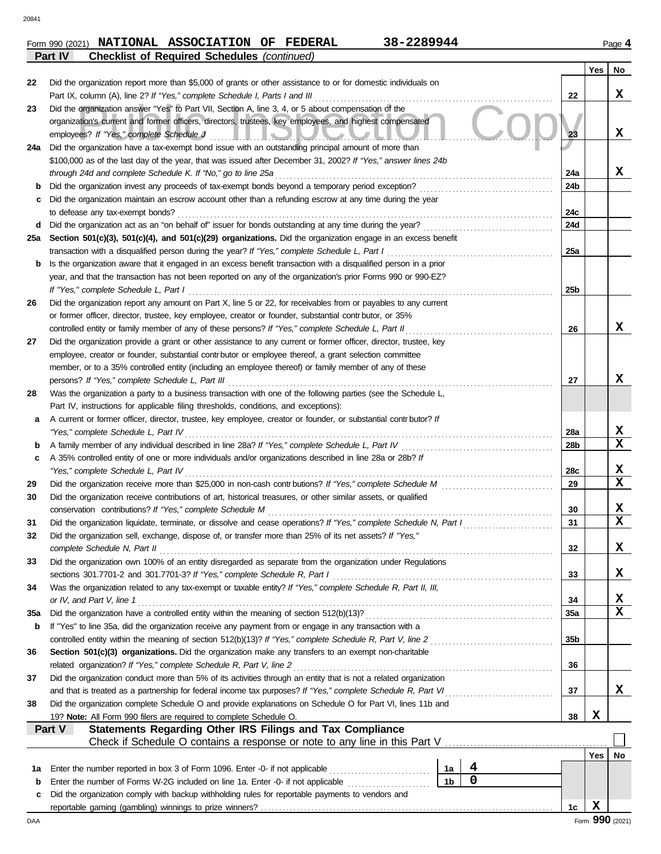## **Form 990 (2021) NATIONAL ASSOCIATION OF FEDERAL 38-2289944** Page 4 **Part IV Checklist of Required Schedules** *(continued)*

|     |                                                                                                                                                                                                                                                                           |                |   |                 | Yes | No |
|-----|---------------------------------------------------------------------------------------------------------------------------------------------------------------------------------------------------------------------------------------------------------------------------|----------------|---|-----------------|-----|----|
| 22  | Did the organization report more than \$5,000 of grants or other assistance to or for domestic individuals on                                                                                                                                                             |                |   |                 |     |    |
|     | Part IX, column (A), line 2? If "Yes," complete Schedule I, Parts I and III                                                                                                                                                                                               |                |   | 22              |     | x  |
| 23  | Did the organization answer "Yes" to Part VII, Section A, line 3, 4, or 5 about compensation of the<br>organization's current and former officers, directors, trustees, key employees, and highest compensated<br>employees? If "Yes," complete Schedule J<br>I. S.  . I. |                |   | 23              |     | x  |
| 24a | Did the organization have a tax-exempt bond issue with an outstanding principal amount of more than                                                                                                                                                                       |                |   |                 |     |    |
|     | \$100,000 as of the last day of the year, that was issued after December 31, 2002? If "Yes," answer lines 24b                                                                                                                                                             |                |   |                 |     |    |
|     | through 24d and complete Schedule K. If "No," go to line 25a                                                                                                                                                                                                              |                |   | 24a             |     | x  |
| b   | Did the organization invest any proceeds of tax-exempt bonds beyond a temporary period exception?                                                                                                                                                                         |                |   | 24b             |     |    |
| c   | Did the organization maintain an escrow account other than a refunding escrow at any time during the year                                                                                                                                                                 |                |   |                 |     |    |
|     | to defease any tax-exempt bonds?                                                                                                                                                                                                                                          |                |   | 24c             |     |    |
| d   |                                                                                                                                                                                                                                                                           |                |   | 24d             |     |    |
| 25a | Section 501(c)(3), 501(c)(4), and 501(c)(29) organizations. Did the organization engage in an excess benefit                                                                                                                                                              |                |   |                 |     |    |
|     | transaction with a disqualified person during the year? If "Yes," complete Schedule L, Part I                                                                                                                                                                             |                |   | 25a             |     |    |
| b   | Is the organization aware that it engaged in an excess benefit transaction with a disqualified person in a prior                                                                                                                                                          |                |   |                 |     |    |
|     | year, and that the transaction has not been reported on any of the organization's prior Forms 990 or 990-EZ?                                                                                                                                                              |                |   |                 |     |    |
|     | If "Yes," complete Schedule L, Part I<br>Did the organization report any amount on Part X, line 5 or 22, for receivables from or payables to any current                                                                                                                  |                |   | 25 <sub>b</sub> |     |    |
| 26  | or former officer, director, trustee, key employee, creator or founder, substantial contr butor, or 35%                                                                                                                                                                   |                |   |                 |     |    |
|     | controlled entity or family member of any of these persons? If "Yes," complete Schedule L, Part II                                                                                                                                                                        |                |   | 26              |     | x  |
| 27  | Did the organization provide a grant or other assistance to any current or former officer, director, trustee, key                                                                                                                                                         |                |   |                 |     |    |
|     | employee, creator or founder, substantial contributor or employee thereof, a grant selection committee                                                                                                                                                                    |                |   |                 |     |    |
|     | member, or to a 35% controlled entity (including an employee thereof) or family member of any of these                                                                                                                                                                    |                |   |                 |     |    |
|     | persons? If "Yes," complete Schedule L, Part III                                                                                                                                                                                                                          |                |   | 27              |     | x  |
| 28  | Was the organization a party to a business transaction with one of the following parties (see the Schedule L,                                                                                                                                                             |                |   |                 |     |    |
|     | Part IV, instructions for applicable filing thresholds, conditions, and exceptions):                                                                                                                                                                                      |                |   |                 |     |    |
| а   | A current or former officer, director, trustee, key employee, creator or founder, or substantial contr butor? If                                                                                                                                                          |                |   |                 |     |    |
|     | "Yes," complete Schedule L, Part IV                                                                                                                                                                                                                                       |                |   | 28a             |     | X  |
| b   | A family member of any individual described in line 28a? If "Yes," complete Schedule L, Part IV                                                                                                                                                                           |                |   | 28b             |     | X  |
| c   | A 35% controlled entity of one or more individuals and/or organizations described in line 28a or 28b? If                                                                                                                                                                  |                |   |                 |     |    |
|     | "Yes," complete Schedule L, Part IV                                                                                                                                                                                                                                       |                |   | 28c             |     | X  |
| 29  |                                                                                                                                                                                                                                                                           |                |   | 29              |     | X  |
| 30  | Did the organization receive contributions of art, historical treasures, or other similar assets, or qualified                                                                                                                                                            |                |   |                 |     |    |
|     | conservation contributions? If "Yes," complete Schedule M                                                                                                                                                                                                                 |                |   | 30              |     | X  |
| 31  | Did the organization liquidate, terminate, or dissolve and cease operations? If "Yes," complete Schedule N, Part I                                                                                                                                                        |                |   | 31              |     | x  |
| 32  | Did the organization sell, exchange, dispose of, or transfer more than 25% of its net assets? If "Yes,"                                                                                                                                                                   |                |   |                 |     |    |
|     | complete Schedule N, Part II                                                                                                                                                                                                                                              |                |   | 32              |     | 4  |
| 33  | Did the organization own 100% of an entity disregarded as separate from the organization under Regulations                                                                                                                                                                |                |   |                 |     |    |
|     | sections 301.7701-2 and 301.7701-3? If "Yes," complete Schedule R, Part I                                                                                                                                                                                                 |                |   | 33              |     | X  |
| 34  | Was the organization related to any tax-exempt or taxable entity? If "Yes," complete Schedule R, Part II, III,                                                                                                                                                            |                |   |                 |     |    |
|     | or IV, and Part V, line 1                                                                                                                                                                                                                                                 |                |   | 34              |     | х  |
| 35a | Did the organization have a controlled entity within the meaning of section 512(b)(13)?                                                                                                                                                                                   |                |   | <b>35a</b>      |     | X  |
| b   | If "Yes" to line 35a, did the organization receive any payment from or engage in any transaction with a                                                                                                                                                                   |                |   |                 |     |    |
|     | controlled entity within the meaning of section 512(b)(13)? If "Yes," complete Schedule R, Part V, line 2                                                                                                                                                                 |                |   | 35 <sub>b</sub> |     |    |
| 36  | Section 501(c)(3) organizations. Did the organization make any transfers to an exempt non-charitable<br>related organization? If "Yes," complete Schedule R, Part V, line 2                                                                                               |                |   | 36              |     |    |
| 37  | Did the organization conduct more than 5% of its activities through an entity that is not a related organization                                                                                                                                                          |                |   |                 |     |    |
|     | and that is treated as a partnership for federal income tax purposes? If "Yes," complete Schedule R, Part VI                                                                                                                                                              |                |   | 37              |     | X. |
| 38  | Did the organization complete Schedule O and provide explanations on Schedule O for Part VI, lines 11b and                                                                                                                                                                |                |   |                 |     |    |
|     | 19? Note: All Form 990 filers are required to complete Schedule O.                                                                                                                                                                                                        |                |   | 38              | X   |    |
|     | Part V<br><b>Statements Regarding Other IRS Filings and Tax Compliance</b>                                                                                                                                                                                                |                |   |                 |     |    |
|     | Check if Schedule O contains a response or note to any line in this Part V                                                                                                                                                                                                |                |   |                 |     |    |
|     |                                                                                                                                                                                                                                                                           |                |   |                 | Yes | No |
| 1a  | Enter the number reported in box 3 of Form 1096. Enter -0- if not applicable                                                                                                                                                                                              | 1a             | 4 |                 |     |    |
| b   | Enter the number of Forms W-2G included on line 1a. Enter -0- if not applicable                                                                                                                                                                                           | 1 <sub>b</sub> | 0 |                 |     |    |
| c   | Did the organization comply with backup withholding rules for reportable payments to vendors and                                                                                                                                                                          |                |   |                 |     |    |
|     |                                                                                                                                                                                                                                                                           |                |   | 1c              | X   |    |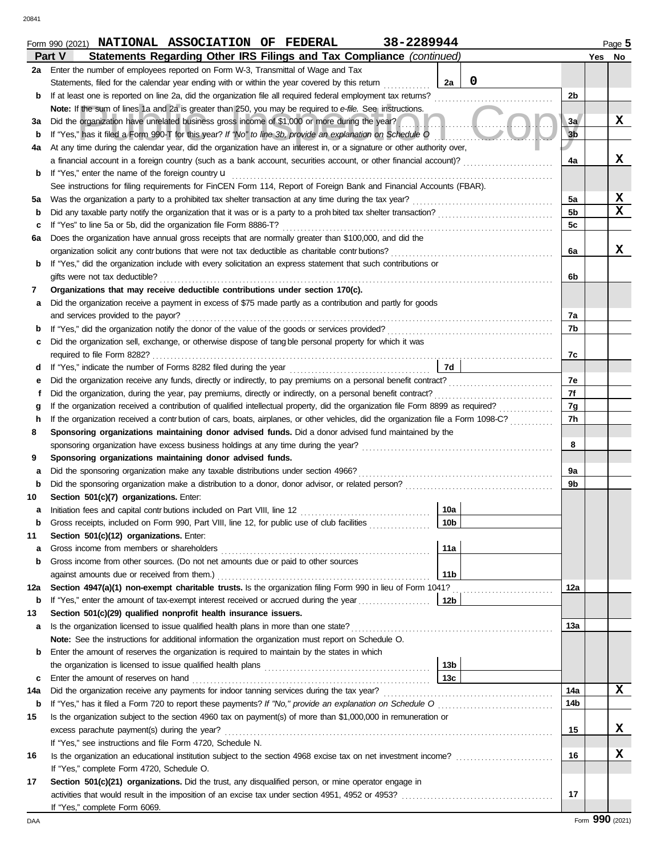20841

|     | Form 990 (2021) NATIONAL ASSOCIATION OF FEDERAL<br>38-2289944                                                                      |                | Page 5      |
|-----|------------------------------------------------------------------------------------------------------------------------------------|----------------|-------------|
|     | Statements Regarding Other IRS Filings and Tax Compliance (continued)<br>Part V                                                    |                | Yes No      |
| 2a  | Enter the number of employees reported on Form W-3, Transmittal of Wage and Tax                                                    |                |             |
|     | $\mathbf 0$<br>Statements, filed for the calendar year ending with or within the year covered by this return<br>2a                 |                |             |
| b   | If at least one is reported on line 2a, did the organization file all required federal employment tax returns?                     | 2b             |             |
|     | Note: If the sum of lines 1a and 2a is greater than 250, you may be required to e-file. See instructions.                          |                |             |
| За  | Did the organization have unrelated business gross income of \$1,000 or more during the year?                                      | 3a             | x           |
| b   | If "Yes," has it filed a Form 990-T for this year? If "No" to line 3b, provide an explanation on Schedule O                        | 3 <sub>b</sub> |             |
|     | At any time during the calendar year, did the organization have an interest in, or a signature or other authority over,            |                |             |
| 4a  |                                                                                                                                    |                | X           |
|     | a financial account in a foreign country (such as a bank account, securities account, or other financial account)?                 | 4a             |             |
| b   | If "Yes," enter the name of the foreign country <b>u</b>                                                                           |                |             |
|     | See instructions for filing requirements for FinCEN Form 114, Report of Foreign Bank and Financial Accounts (FBAR).                |                |             |
| 5а  | Was the organization a party to a prohibited tax shelter transaction at any time during the tax year?                              | 5a             | x           |
| b   |                                                                                                                                    | 5b             | $\mathbf x$ |
| c   | If "Yes" to line 5a or 5b, did the organization file Form 8886-T?                                                                  | 5c             |             |
| 6а  | Does the organization have annual gross receipts that are normally greater than \$100,000, and did the                             |                |             |
|     | organization solicit any contributions that were not tax deductible as charitable contributions?                                   | 6a             | X           |
| b   | If "Yes," did the organization include with every solicitation an express statement that such contributions or                     |                |             |
|     | gifts were not tax deductible?                                                                                                     | 6b             |             |
| 7   | Organizations that may receive deductible contributions under section 170(c).                                                      |                |             |
| а   | Did the organization receive a payment in excess of \$75 made partly as a contribution and partly for goods                        |                |             |
|     | and services provided to the payor?                                                                                                | 7a             |             |
| b   | If "Yes," did the organization notify the donor of the value of the goods or services provided?                                    | 7b             |             |
| c   | Did the organization sell, exchange, or otherwise dispose of tang ble personal property for which it was                           |                |             |
|     |                                                                                                                                    | 7c             |             |
| d   | 7d                                                                                                                                 |                |             |
|     |                                                                                                                                    | 7e             |             |
| е   |                                                                                                                                    | 7f             |             |
|     | Did the organization, during the year, pay premiums, directly or indirectly, on a personal benefit contract?                       |                |             |
| g   | If the organization received a contribution of qualified intellectual property, did the organization file Form 8899 as required?   | 7g             |             |
| h   | If the organization received a contr bution of cars, boats, airplanes, or other vehicles, did the organization file a Form 1098-C? | 7h             |             |
| 8   | Sponsoring organizations maintaining donor advised funds. Did a donor advised fund maintained by the                               |                |             |
|     |                                                                                                                                    | 8              |             |
| 9   | Sponsoring organizations maintaining donor advised funds.                                                                          |                |             |
| а   | Did the sponsoring organization make any taxable distributions under section 4966?                                                 | 9a             |             |
| b   | Did the sponsoring organization make a distribution to a donor, donor advisor, or related person?                                  | 9b             |             |
| 10  | Section 501(c)(7) organizations. Enter:                                                                                            |                |             |
| a   | 10a                                                                                                                                |                |             |
|     | Gross receipts, included on Form 990, Part VIII, line 12, for public use of club facilities<br>10 <sub>b</sub>                     |                |             |
| 11  | Section 501(c)(12) organizations. Enter:                                                                                           |                |             |
| а   | 11a<br>Gross income from members or shareholders                                                                                   |                |             |
| b   | Gross income from other sources. (Do not net amounts due or paid to other sources                                                  |                |             |
|     | 11 <sub>b</sub><br>against amounts due or received from them.)                                                                     |                |             |
| 12a | Section 4947(a)(1) non-exempt charitable trusts. Is the organization filing Form 990 in lieu of Form 1041?                         | 12a            |             |
| b   |                                                                                                                                    |                |             |
| 13  | Section 501(c)(29) qualified nonprofit health insurance issuers.                                                                   |                |             |
| а   | Is the organization licensed to issue qualified health plans in more than one state?                                               | 13а            |             |
|     | Note: See the instructions for additional information the organization must report on Schedule O.                                  |                |             |
| b   | Enter the amount of reserves the organization is required to maintain by the states in which                                       |                |             |
|     | 13b                                                                                                                                |                |             |
|     | 13c                                                                                                                                |                |             |
| c   | Enter the amount of reserves on hand                                                                                               |                |             |
| 14a | Did the organization receive any payments for indoor tanning services during the tax year?                                         | 14a            | x           |
| b   |                                                                                                                                    | 14b            |             |
| 15  | Is the organization subject to the section 4960 tax on payment(s) of more than \$1,000,000 in remuneration or                      |                |             |
|     | excess parachute payment(s) during the year?                                                                                       | 15             | x           |
|     | If "Yes," see instructions and file Form 4720, Schedule N.                                                                         |                |             |
| 16  |                                                                                                                                    | 16             | x           |
|     | If "Yes," complete Form 4720, Schedule O.                                                                                          |                |             |
| 17  | Section 501(c)(21) organizations. Did the trust, any disqualified person, or mine operator engage in                               |                |             |
|     |                                                                                                                                    | 17             |             |
|     | If "Yes," complete Form 6069.                                                                                                      |                |             |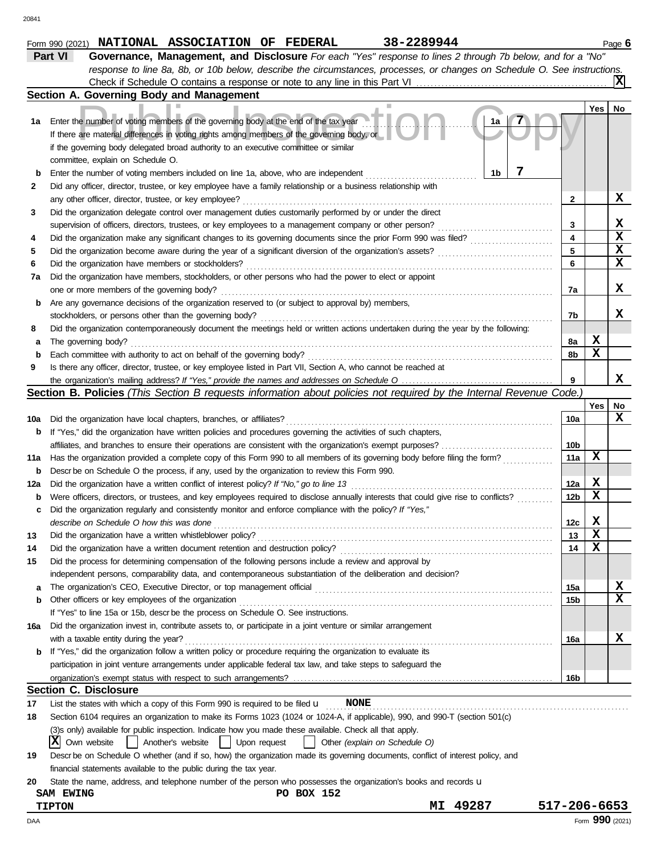|     | Part VI<br>Governance, Management, and Disclosure For each "Yes" response to lines 2 through 7b below, and for a "No"               |                         |                 |    |
|-----|-------------------------------------------------------------------------------------------------------------------------------------|-------------------------|-----------------|----|
|     | response to line 8a, 8b, or 10b below, describe the circumstances, processes, or changes on Schedule O. See instructions.           |                         |                 |    |
|     |                                                                                                                                     |                         |                 | X  |
|     | Section A. Governing Body and Management                                                                                            |                         |                 |    |
|     |                                                                                                                                     |                         | Yes             | No |
| 1a  | Enter the number of voting members of the governing body at the end of the tax year<br>1a                                           |                         |                 |    |
|     | If there are material differences in voting rights among members of the governing body, or                                          |                         |                 |    |
|     | if the governing body delegated broad authority to an executive committee or similar                                                |                         |                 |    |
|     | committee, explain on Schedule O.                                                                                                   |                         |                 |    |
|     | 7<br>Enter the number of voting members included on line 1a, above, who are independent<br>1b                                       |                         |                 |    |
| 2   | Did any officer, director, trustee, or key employee have a family relationship or a business relationship with                      |                         |                 |    |
|     | any other officer, director, trustee, or key employee?                                                                              | 2                       |                 | x  |
| 3   | Did the organization delegate control over management duties customarily performed by or under the direct                           |                         |                 |    |
|     | supervision of officers, directors, trustees, or key employees to a management company or other person?                             | 3                       |                 | х  |
| 4   |                                                                                                                                     | $\overline{\mathbf{4}}$ |                 | X  |
| 5   |                                                                                                                                     | 5                       |                 | X  |
| 6   |                                                                                                                                     | 6                       |                 | х  |
| 7a  | Did the organization have members, stockholders, or other persons who had the power to elect or appoint                             |                         |                 |    |
|     | one or more members of the governing body?                                                                                          | 7a                      |                 | x  |
| b   | Are any governance decisions of the organization reserved to (or subject to approval by) members,                                   |                         |                 |    |
|     | stockholders, or persons other than the governing body?                                                                             | 7b                      |                 | x  |
| 8   | Did the organization contemporaneously document the meetings held or written actions undertaken during the year by the following:   |                         |                 |    |
| a   | The governing body?                                                                                                                 | 8a                      | X               |    |
| b   | Each committee with authority to act on behalf of the governing body?                                                               | 8b                      | $\mathbf x$     |    |
| 9   | Is there any officer, director, trustee, or key employee listed in Part VII, Section A, who cannot be reached at                    |                         |                 |    |
|     |                                                                                                                                     | 9                       |                 | x  |
|     | Section B. Policies (This Section B requests information about policies not required by the Internal Revenue Code.)                 |                         |                 |    |
|     |                                                                                                                                     |                         | Yes             | No |
| 10a | Did the organization have local chapters, branches, or affiliates?                                                                  | 10a                     |                 | х  |
| b   | If "Yes," did the organization have written policies and procedures governing the activities of such chapters,                      |                         |                 |    |
|     |                                                                                                                                     | 10 <sub>b</sub>         |                 |    |
| 11a | Has the organization provided a complete copy of this Form 990 to all members of its governing body before filing the form?         | 11a                     | х               |    |
| b   | Descr be on Schedule O the process, if any, used by the organization to review this Form 990.                                       |                         |                 |    |
| 12a | Did the organization have a written conflict of interest policy? If "No," go to line 13                                             | 12a                     | X               |    |
| b   | Were officers, directors, or trustees, and key employees required to disclose annually interests that could give rise to conflicts? | 12 <sub>b</sub>         | $\mathbf x$     |    |
| c   | Did the organization regularly and consistently monitor and enforce compliance with the policy? If "Yes,"                           |                         |                 |    |
|     | describe on Schedule O how this was done                                                                                            | 12c                     | X               |    |
| 13  | Did the organization have a written whistleblower policy?                                                                           | 13                      | $\mathbf x$     |    |
| 14  | Did the organization have a written document retention and destruction policy?                                                      | 14                      | X               |    |
| 15  | Did the process for determining compensation of the following persons include a review and approval by                              |                         |                 |    |
|     | independent persons, comparability data, and contemporaneous substantiation of the deliberation and decision?                       |                         |                 |    |
| а   |                                                                                                                                     | 15a                     |                 | X  |
| b   | Other officers or key employees of the organization                                                                                 | 15b                     |                 | x  |
|     | If "Yes" to line 15a or 15b, descrbe the process on Schedule O. See instructions.                                                   |                         |                 |    |
| 16a | Did the organization invest in, contribute assets to, or participate in a joint venture or similar arrangement                      |                         |                 |    |
|     | with a taxable entity during the year?                                                                                              | 16a                     |                 | X  |
| b   | If "Yes," did the organization follow a written policy or procedure requiring the organization to evaluate its                      |                         |                 |    |
|     | participation in joint venture arrangements under applicable federal tax law, and take steps to safeguard the                       |                         |                 |    |
|     |                                                                                                                                     | 16b                     |                 |    |
|     | <b>Section C. Disclosure</b>                                                                                                        |                         |                 |    |
| 17  | <b>NONE</b><br>List the states with which a copy of this Form 990 is required to be filed $\mathbf u$                               |                         |                 |    |
| 18  | Section 6104 requires an organization to make its Forms 1023 (1024 or 1024-A, if applicable), 990, and 990-T (section 501(c)        |                         |                 |    |
|     | (3)s only) available for public inspection. Indicate how you made these available. Check all that apply.                            |                         |                 |    |
|     | X<br>Own website<br>Another's website<br>Upon request<br>Other (explain on Schedule O)                                              |                         |                 |    |
| 19  | Descr be on Schedule O whether (and if so, how) the organization made its governing documents, conflict of interest policy, and     |                         |                 |    |
|     | financial statements available to the public during the tax year.                                                                   |                         |                 |    |
| 20  | State the name, address, and telephone number of the person who possesses the organization's books and records u                    |                         |                 |    |
|     | PO BOX 152<br><b>SAM EWING</b>                                                                                                      |                         |                 |    |
|     | 49287<br><b>TIPTON</b><br>МI                                                                                                        | 517-206-6653            |                 |    |
| DAA |                                                                                                                                     |                         | Form 990 (2021) |    |

**Form 990 (2021) NATIONAL ASSOCIATION OF FEDERAL 38-2289944** Page 6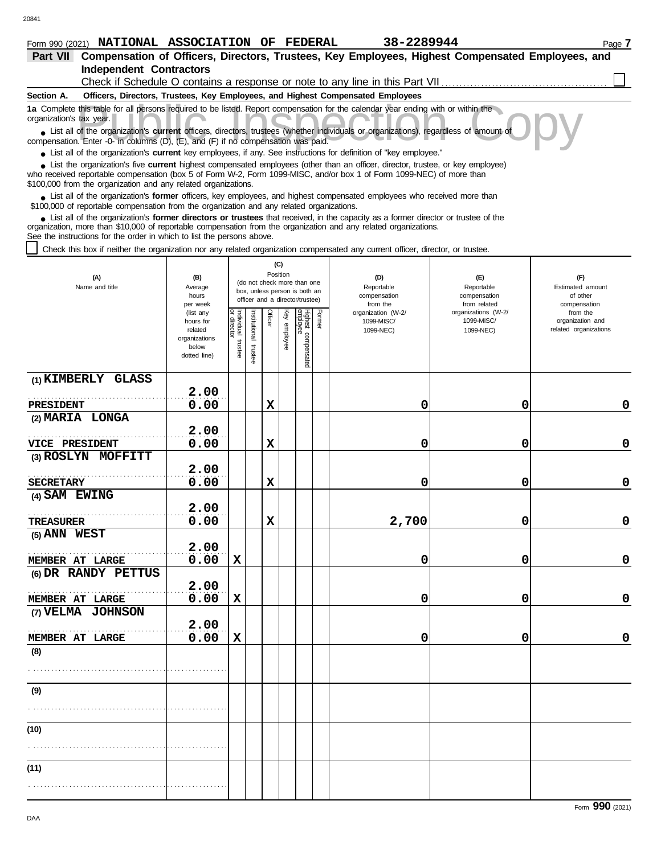| Form 990 (2021) NATIONAL ASSOCIATION OF FEDERAL                                                                                                                                                                                                                                                                                 |                                                                                                                                                           |                       |                         |             |                 |                                 |                                               | 38-2289944                                                                                       |                                                     | Page 7                                                |
|---------------------------------------------------------------------------------------------------------------------------------------------------------------------------------------------------------------------------------------------------------------------------------------------------------------------------------|-----------------------------------------------------------------------------------------------------------------------------------------------------------|-----------------------|-------------------------|-------------|-----------------|---------------------------------|-----------------------------------------------|--------------------------------------------------------------------------------------------------|-----------------------------------------------------|-------------------------------------------------------|
| <b>Part VII</b>                                                                                                                                                                                                                                                                                                                 |                                                                                                                                                           |                       |                         |             |                 |                                 |                                               | Compensation of Officers, Directors, Trustees, Key Employees, Highest Compensated Employees, and |                                                     |                                                       |
| <b>Independent Contractors</b>                                                                                                                                                                                                                                                                                                  |                                                                                                                                                           |                       |                         |             |                 |                                 |                                               |                                                                                                  |                                                     |                                                       |
|                                                                                                                                                                                                                                                                                                                                 |                                                                                                                                                           |                       |                         |             |                 |                                 |                                               | Check if Schedule O contains a response or note to any line in this Part VII                     |                                                     |                                                       |
| Section A.                                                                                                                                                                                                                                                                                                                      |                                                                                                                                                           |                       |                         |             |                 |                                 |                                               | Officers, Directors, Trustees, Key Employees, and Highest Compensated Employees                  |                                                     |                                                       |
| 1a Complete this table for all persons required to be listed. Report compensation for the calendar year ending with or within the<br>organization's tax year.<br>• List all of the organization's current officers, directors, trustees (whether individuals or organizations), regardless of amount of                         |                                                                                                                                                           |                       |                         |             |                 |                                 |                                               |                                                                                                  |                                                     |                                                       |
| compensation. Enter -0- in columns (D), (E), and (F) if no compensation was paid.                                                                                                                                                                                                                                               |                                                                                                                                                           |                       |                         |             |                 |                                 |                                               |                                                                                                  |                                                     |                                                       |
| • List all of the organization's current key employees, if any. See instructions for definition of "key employee."                                                                                                                                                                                                              |                                                                                                                                                           |                       |                         |             |                 |                                 |                                               |                                                                                                  |                                                     |                                                       |
| • List the organization's five current highest compensated employees (other than an officer, director, trustee, or key employee)<br>who received reportable compensation (box 5 of Form W-2, Form 1099-MISC, and/or box 1 of Form 1099-NEC) of more than<br>\$100,000 from the organization and any related organizations.      |                                                                                                                                                           |                       |                         |             |                 |                                 |                                               |                                                                                                  |                                                     |                                                       |
| • List all of the organization's former officers, key employees, and highest compensated employees who received more than<br>\$100,000 of reportable compensation from the organization and any related organizations.                                                                                                          |                                                                                                                                                           |                       |                         |             |                 |                                 |                                               |                                                                                                  |                                                     |                                                       |
| List all of the organization's former directors or trustees that received, in the capacity as a former director or trustee of the<br>organization, more than \$10,000 of reportable compensation from the organization and any related organizations.<br>See the instructions for the order in which to list the persons above. |                                                                                                                                                           |                       |                         |             |                 |                                 |                                               |                                                                                                  |                                                     |                                                       |
| Check this box if neither the organization nor any related organization compensated any current officer, director, or trustee.                                                                                                                                                                                                  |                                                                                                                                                           |                       |                         |             |                 |                                 |                                               |                                                                                                  |                                                     |                                                       |
| (A)<br>Name and title                                                                                                                                                                                                                                                                                                           | (C)<br>Position<br>(B)<br>(do not check more than one<br>Average<br>box, unless person is both an<br>hours<br>officer and a director/trustee)<br>per week |                       |                         |             |                 |                                 | (D)<br>Reportable<br>compensation<br>from the | (F)<br>Reportable<br>compensation<br>from related                                                | (F)<br>Estimated amount<br>of other<br>compensation |                                                       |
|                                                                                                                                                                                                                                                                                                                                 | (list any<br>hours for<br>related<br>organizations<br>below<br>dotted line)                                                                               | Individual<br>trustee | nstitutional<br>trustee | Officer     | Ķey<br>employee | Highest compensated<br>employee | Former                                        | organization (W-2/<br>1099-MISC/<br>1099-NEC)                                                    | organizations (W-2/<br>1099-MISC/<br>1099-NEC)      | from the<br>organization and<br>related organizations |
| (1) KIMBERLY GLASS                                                                                                                                                                                                                                                                                                              |                                                                                                                                                           |                       |                         |             |                 |                                 |                                               |                                                                                                  |                                                     |                                                       |
|                                                                                                                                                                                                                                                                                                                                 | 2.00                                                                                                                                                      |                       |                         |             |                 |                                 |                                               |                                                                                                  |                                                     |                                                       |
| PRESIDENT                                                                                                                                                                                                                                                                                                                       | 0.00                                                                                                                                                      |                       |                         | X           |                 |                                 |                                               | 0                                                                                                | 0                                                   | 0                                                     |
| (2) MARIA LONGA                                                                                                                                                                                                                                                                                                                 | 2.00                                                                                                                                                      |                       |                         |             |                 |                                 |                                               |                                                                                                  |                                                     |                                                       |
| <b>VICE PRESIDENT</b>                                                                                                                                                                                                                                                                                                           | 0.00                                                                                                                                                      |                       |                         | $\mathbf x$ |                 |                                 |                                               | 0                                                                                                | 0                                                   | 0                                                     |
| (3) ROSLYN MOFFITT                                                                                                                                                                                                                                                                                                              |                                                                                                                                                           |                       |                         |             |                 |                                 |                                               |                                                                                                  |                                                     |                                                       |
|                                                                                                                                                                                                                                                                                                                                 | 2.00                                                                                                                                                      |                       |                         |             |                 |                                 |                                               |                                                                                                  |                                                     |                                                       |
| <b>SECRETARY</b>                                                                                                                                                                                                                                                                                                                | 0.00                                                                                                                                                      |                       |                         | X           |                 |                                 |                                               | 0                                                                                                | 0                                                   | 0                                                     |
| (4) SAM EWING                                                                                                                                                                                                                                                                                                                   |                                                                                                                                                           |                       |                         |             |                 |                                 |                                               |                                                                                                  |                                                     |                                                       |
|                                                                                                                                                                                                                                                                                                                                 | 2.00                                                                                                                                                      |                       |                         |             |                 |                                 |                                               |                                                                                                  |                                                     |                                                       |
| TREASURER                                                                                                                                                                                                                                                                                                                       | 0.00                                                                                                                                                      |                       |                         | X           |                 |                                 |                                               | 2,700                                                                                            | 0                                                   | 0                                                     |
| (5) ANN WEST                                                                                                                                                                                                                                                                                                                    |                                                                                                                                                           |                       |                         |             |                 |                                 |                                               |                                                                                                  |                                                     |                                                       |
|                                                                                                                                                                                                                                                                                                                                 | 2.00<br>0.00                                                                                                                                              | $\mathbf x$           |                         |             |                 |                                 |                                               | 0                                                                                                | 0                                                   | 0                                                     |
| MEMBER AT LARGE                                                                                                                                                                                                                                                                                                                 |                                                                                                                                                           |                       |                         |             |                 |                                 |                                               |                                                                                                  |                                                     |                                                       |

**0.00 X 0 0 0**

**0.00 X 0 0 0**

**0.00 X 0 0 0**

**(8)**

. . . . . . . . . . . . . . . . . . . . . . . . . . . . . . . . . . . . . . . . . . . . . . . . . . . . . . .

**(9)**

**(10)**

. . . . . . . . . . . . . . . . . . . . . . . . . . . . . . . . . . . . . . . . . . . . . . . . . . . . . . .

. . . . . . . . . . . . . . . . . . . . . . . . . . . . . . . . . . . . . . . . . . . . . . . . . . . . . . .

**(11)**

**(6) DR RANDY PETTUS**

**MEMBER AT LARGE**  $\begin{bmatrix} . & . & . \\ 0 & . & 0 \\ 0 & . & . \end{bmatrix}$ 

**MEMBER AT LARGE**  $\begin{bmatrix} . & . & . \\ 0 & . & 0 \\ 0 & . & . \end{bmatrix}$ 

**2.00**

**2.00**

**MEMBER AT LARGE**  $\begin{bmatrix} . & . & . \\ 0 & . & 0 \\ 0 & . & . \end{bmatrix}$ 

. . . . . . . . . . . . . . . . . . . . . . . . . . . . . . . . . . . . . . . . . . . . . . . . . . . . . . .

**(7) VELMA JOHNSON**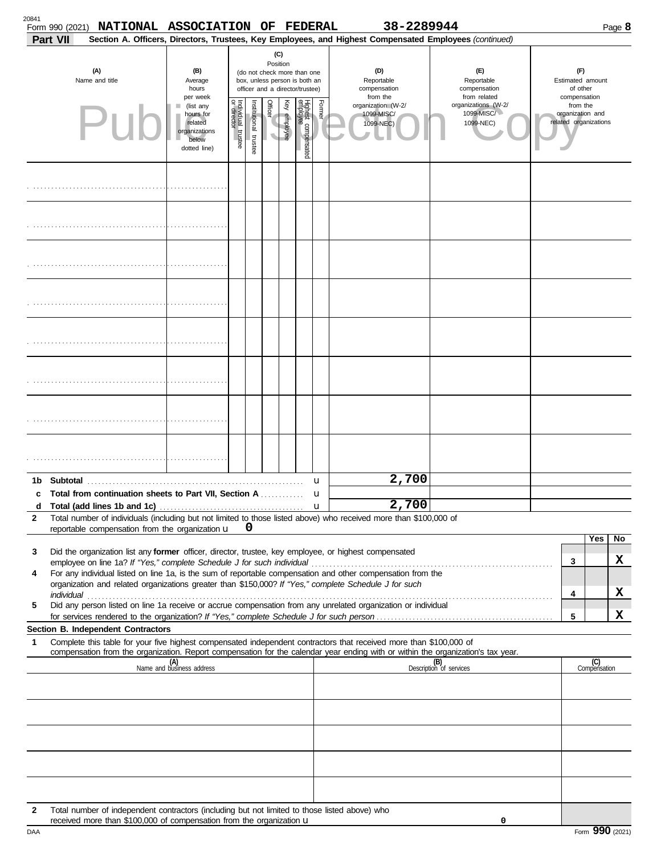| 20841<br>38-2289944<br>NATIONAL ASSOCIATION OF FEDERAL<br>Form 990 (2021)<br>Section A. Officers, Directors, Trustees, Key Employees, and Highest Compensated Employees (continued) |                 |                                                                                                                                                                                 |                                     |                                                                                                                                                                                                          |         |                 |                           |        |                  |                                               | Page 8                                                                                                             |                                                                                                                                                                                                                                |                              |                       |                     |    |
|-------------------------------------------------------------------------------------------------------------------------------------------------------------------------------------|-----------------|---------------------------------------------------------------------------------------------------------------------------------------------------------------------------------|-------------------------------------|----------------------------------------------------------------------------------------------------------------------------------------------------------------------------------------------------------|---------|-----------------|---------------------------|--------|------------------|-----------------------------------------------|--------------------------------------------------------------------------------------------------------------------|--------------------------------------------------------------------------------------------------------------------------------------------------------------------------------------------------------------------------------|------------------------------|-----------------------|---------------------|----|
|                                                                                                                                                                                     | <b>Part VII</b> |                                                                                                                                                                                 |                                     |                                                                                                                                                                                                          |         |                 |                           |        |                  |                                               |                                                                                                                    |                                                                                                                                                                                                                                |                              |                       |                     |    |
|                                                                                                                                                                                     |                 | (A)<br>Name and title                                                                                                                                                           | (B)<br>Average<br>hours<br>per week | (C)<br>Position<br>(D)<br>(E)<br>(do not check more than one<br>box, unless person is both an<br>Reportable<br>Reportable<br>compensation<br>officer and a director/trustee)<br>compensation<br>from the |         |                 |                           |        |                  | from related                                  | (F)<br>Estimated amount<br>of other<br>compensation                                                                |                                                                                                                                                                                                                                |                              |                       |                     |    |
|                                                                                                                                                                                     | Pul             | (list any<br>hours for<br>related<br>organizations<br>below<br>dotted line)                                                                                                     | Individual trustee<br>or director   | Institutional trustee                                                                                                                                                                                    | Officer | Ķey<br>employee | Highest co<br>compensated | Former |                  | organization (W-2/<br>1099-MISC/<br>1099-NEC) | organizations (W-2/<br>1099-MISC/<br>1099-NEC)                                                                     |                                                                                                                                                                                                                                | from the<br>organization and | related organizations |                     |    |
|                                                                                                                                                                                     |                 |                                                                                                                                                                                 |                                     |                                                                                                                                                                                                          |         |                 |                           |        |                  |                                               |                                                                                                                    |                                                                                                                                                                                                                                |                              |                       |                     |    |
|                                                                                                                                                                                     |                 |                                                                                                                                                                                 |                                     |                                                                                                                                                                                                          |         |                 |                           |        |                  |                                               |                                                                                                                    |                                                                                                                                                                                                                                |                              |                       |                     |    |
|                                                                                                                                                                                     |                 |                                                                                                                                                                                 |                                     |                                                                                                                                                                                                          |         |                 |                           |        |                  |                                               |                                                                                                                    |                                                                                                                                                                                                                                |                              |                       |                     |    |
|                                                                                                                                                                                     |                 |                                                                                                                                                                                 |                                     |                                                                                                                                                                                                          |         |                 |                           |        |                  |                                               |                                                                                                                    |                                                                                                                                                                                                                                |                              |                       |                     |    |
|                                                                                                                                                                                     |                 |                                                                                                                                                                                 |                                     |                                                                                                                                                                                                          |         |                 |                           |        |                  |                                               |                                                                                                                    |                                                                                                                                                                                                                                |                              |                       |                     |    |
|                                                                                                                                                                                     |                 |                                                                                                                                                                                 |                                     |                                                                                                                                                                                                          |         |                 |                           |        |                  |                                               |                                                                                                                    |                                                                                                                                                                                                                                |                              |                       |                     |    |
|                                                                                                                                                                                     |                 |                                                                                                                                                                                 |                                     |                                                                                                                                                                                                          |         |                 |                           |        |                  |                                               |                                                                                                                    |                                                                                                                                                                                                                                |                              |                       |                     |    |
|                                                                                                                                                                                     |                 |                                                                                                                                                                                 |                                     |                                                                                                                                                                                                          |         |                 |                           |        |                  |                                               |                                                                                                                    |                                                                                                                                                                                                                                |                              |                       |                     |    |
| 1b                                                                                                                                                                                  | Subtotal        |                                                                                                                                                                                 |                                     |                                                                                                                                                                                                          |         |                 |                           |        | u                |                                               | 2,700                                                                                                              |                                                                                                                                                                                                                                |                              |                       |                     |    |
| c<br>d                                                                                                                                                                              |                 | Total from continuation sheets to Part VII, Section A                                                                                                                           |                                     |                                                                                                                                                                                                          |         |                 |                           |        | u<br>$\mathbf u$ |                                               | 2,700                                                                                                              |                                                                                                                                                                                                                                |                              |                       |                     |    |
| $\mathbf{2}$                                                                                                                                                                        |                 |                                                                                                                                                                                 |                                     |                                                                                                                                                                                                          |         |                 |                           |        |                  |                                               | Total number of individuals (including but not limited to those listed above) who received more than \$100,000 of  |                                                                                                                                                                                                                                |                              |                       |                     |    |
|                                                                                                                                                                                     |                 | reportable compensation from the organization u                                                                                                                                 |                                     |                                                                                                                                                                                                          | 0       |                 |                           |        |                  |                                               |                                                                                                                    |                                                                                                                                                                                                                                |                              |                       | Yes                 | No |
| 3                                                                                                                                                                                   |                 | Did the organization list any former officer, director, trustee, key employee, or highest compensated                                                                           |                                     |                                                                                                                                                                                                          |         |                 |                           |        |                  |                                               |                                                                                                                    | employee on line 1a? If "Yes," complete Schedule J for such individual material content content of the content of the Schedule J for such individual material content of the state of the state of the state of the state of t |                              | 3                     |                     | x  |
| 4                                                                                                                                                                                   |                 |                                                                                                                                                                                 |                                     |                                                                                                                                                                                                          |         |                 |                           |        |                  |                                               | For any individual listed on line 1a, is the sum of reportable compensation and other compensation from the        |                                                                                                                                                                                                                                |                              |                       |                     |    |
|                                                                                                                                                                                     |                 |                                                                                                                                                                                 |                                     |                                                                                                                                                                                                          |         |                 |                           |        |                  |                                               | organization and related organizations greater than \$150,000? If "Yes," complete Schedule J for such              |                                                                                                                                                                                                                                |                              | 4                     |                     | x  |
| 5                                                                                                                                                                                   |                 |                                                                                                                                                                                 |                                     |                                                                                                                                                                                                          |         |                 |                           |        |                  |                                               | Did any person listed on line 1a receive or accrue compensation from any unrelated organization or individual      |                                                                                                                                                                                                                                |                              | 5                     |                     | x  |
|                                                                                                                                                                                     |                 | Section B. Independent Contractors                                                                                                                                              |                                     |                                                                                                                                                                                                          |         |                 |                           |        |                  |                                               |                                                                                                                    |                                                                                                                                                                                                                                |                              |                       |                     |    |
| 1                                                                                                                                                                                   |                 |                                                                                                                                                                                 |                                     |                                                                                                                                                                                                          |         |                 |                           |        |                  |                                               | Complete this table for your five highest compensated independent contractors that received more than \$100,000 of | compensation from the organization. Report compensation for the calendar year ending with or within the organization's tax year.                                                                                               |                              |                       |                     |    |
|                                                                                                                                                                                     |                 |                                                                                                                                                                                 | (A)<br>Name and business address    |                                                                                                                                                                                                          |         |                 |                           |        |                  |                                               |                                                                                                                    | (B)<br>Description of services                                                                                                                                                                                                 |                              |                       | (C)<br>Compensation |    |
|                                                                                                                                                                                     |                 |                                                                                                                                                                                 |                                     |                                                                                                                                                                                                          |         |                 |                           |        |                  |                                               |                                                                                                                    |                                                                                                                                                                                                                                |                              |                       |                     |    |
|                                                                                                                                                                                     |                 |                                                                                                                                                                                 |                                     |                                                                                                                                                                                                          |         |                 |                           |        |                  |                                               |                                                                                                                    |                                                                                                                                                                                                                                |                              |                       |                     |    |
|                                                                                                                                                                                     |                 |                                                                                                                                                                                 |                                     |                                                                                                                                                                                                          |         |                 |                           |        |                  |                                               |                                                                                                                    |                                                                                                                                                                                                                                |                              |                       |                     |    |
|                                                                                                                                                                                     |                 |                                                                                                                                                                                 |                                     |                                                                                                                                                                                                          |         |                 |                           |        |                  |                                               |                                                                                                                    |                                                                                                                                                                                                                                |                              |                       |                     |    |
|                                                                                                                                                                                     |                 |                                                                                                                                                                                 |                                     |                                                                                                                                                                                                          |         |                 |                           |        |                  |                                               |                                                                                                                    |                                                                                                                                                                                                                                |                              |                       |                     |    |
| 2                                                                                                                                                                                   |                 | Total number of independent contractors (including but not limited to those listed above) who<br>received more than \$100,000 of compensation from the organization $\mathbf u$ |                                     |                                                                                                                                                                                                          |         |                 |                           |        |                  |                                               |                                                                                                                    | 0                                                                                                                                                                                                                              |                              |                       |                     |    |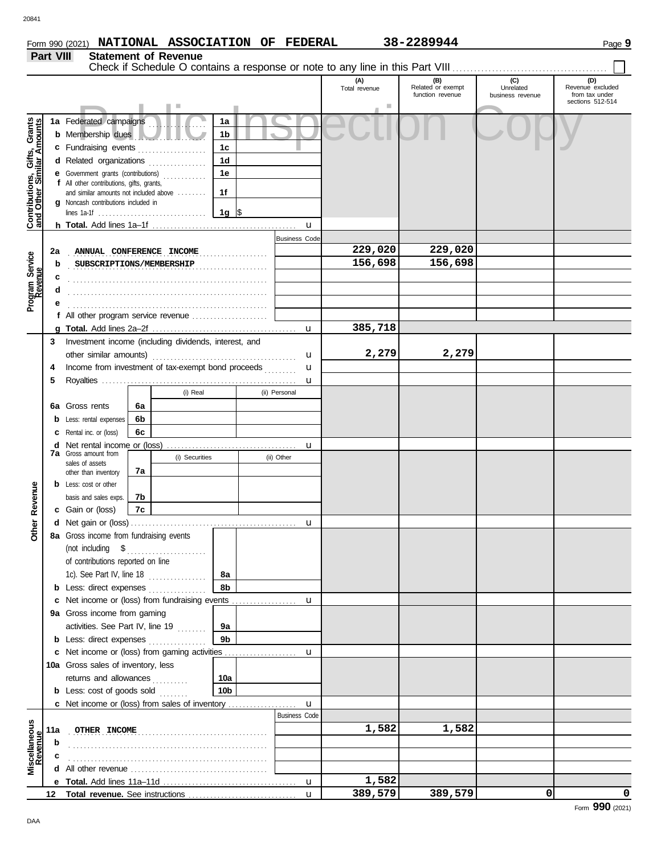**Part VIII Statement of Revenue**

|                                                                  |     |                                                                               |          |                |                 |                      | (A)<br>Total revenue | (B)<br>Related or exempt<br>function revenue | (C)<br>Unrelated<br>business revenue | (D)<br>Revenue excluded<br>from tax under<br>sections 512-514 |
|------------------------------------------------------------------|-----|-------------------------------------------------------------------------------|----------|----------------|-----------------|----------------------|----------------------|----------------------------------------------|--------------------------------------|---------------------------------------------------------------|
|                                                                  |     |                                                                               |          |                |                 |                      | ш                    |                                              |                                      |                                                               |
|                                                                  |     | 1a Federated campaigns                                                        |          |                | 1a              |                      |                      |                                              |                                      |                                                               |
|                                                                  |     | <b>b</b> Membership dues                                                      |          |                | 1b              |                      |                      |                                              |                                      |                                                               |
|                                                                  |     | c Fundraising events                                                          |          |                | 1c              |                      |                      |                                              |                                      |                                                               |
|                                                                  |     | d Related organizations                                                       |          |                | 1 <sub>d</sub>  |                      |                      |                                              |                                      |                                                               |
|                                                                  |     | e Government grants (contributions)                                           |          |                | 1e              |                      |                      |                                              |                                      |                                                               |
|                                                                  |     | f All other contributions, gifts, grants,                                     |          |                |                 |                      |                      |                                              |                                      |                                                               |
|                                                                  |     | and similar amounts not included above<br>g Noncash contributions included in |          |                | 1f              |                      |                      |                                              |                                      |                                                               |
|                                                                  |     |                                                                               |          |                | 1g $\sqrt{3}$   |                      |                      |                                              |                                      |                                                               |
| <b>Contributions, Gifts, Grants</b><br>and Other Similar Amounts |     |                                                                               |          |                |                 | $\mathbf u$          |                      |                                              |                                      |                                                               |
|                                                                  |     |                                                                               |          |                |                 | <b>Business Code</b> |                      |                                              |                                      |                                                               |
|                                                                  | 2a  | ANNUAL CONFERENCE INCOME                                                      |          |                |                 |                      | 229,020              | 229,020                                      |                                      |                                                               |
|                                                                  | b   | SUBSCRIPTIONS/MEMBERSHIP                                                      |          |                |                 |                      | 156,698              | 156,698                                      |                                      |                                                               |
| Program Service<br>Revenue                                       | c   |                                                                               |          |                |                 |                      |                      |                                              |                                      |                                                               |
|                                                                  |     |                                                                               |          |                |                 |                      |                      |                                              |                                      |                                                               |
|                                                                  |     |                                                                               |          |                |                 |                      |                      |                                              |                                      |                                                               |
|                                                                  |     |                                                                               |          |                |                 |                      |                      |                                              |                                      |                                                               |
|                                                                  |     |                                                                               |          |                |                 | $\mathbf{u}$         | 385,718              |                                              |                                      |                                                               |
|                                                                  | 3   | Investment income (including dividends, interest, and                         |          |                |                 |                      |                      |                                              |                                      |                                                               |
|                                                                  |     | other similar amounts)                                                        |          |                |                 | u                    | 2,279                | 2,279                                        |                                      |                                                               |
|                                                                  | 4   | Income from investment of tax-exempt bond proceeds                            |          |                |                 | u                    |                      |                                              |                                      |                                                               |
|                                                                  | 5   |                                                                               |          |                |                 | u                    |                      |                                              |                                      |                                                               |
|                                                                  |     |                                                                               |          | (i) Real       |                 | (ii) Personal        |                      |                                              |                                      |                                                               |
|                                                                  |     | Gross rents                                                                   | 6a       |                |                 |                      |                      |                                              |                                      |                                                               |
|                                                                  | 6a  |                                                                               |          |                |                 |                      |                      |                                              |                                      |                                                               |
|                                                                  | b   | Less: rental expenses                                                         | 6b<br>6c |                |                 |                      |                      |                                              |                                      |                                                               |
|                                                                  |     | Rental inc. or (loss)                                                         |          |                |                 |                      |                      |                                              |                                      |                                                               |
|                                                                  | d   | Net rental income or (loss)<br><b>7a</b> Gross amount from                    |          | (i) Securities |                 | u<br>(ii) Other      |                      |                                              |                                      |                                                               |
|                                                                  |     | sales of assets                                                               |          |                |                 |                      |                      |                                              |                                      |                                                               |
|                                                                  |     | other than inventory                                                          | 7a       |                |                 |                      |                      |                                              |                                      |                                                               |
|                                                                  |     | <b>b</b> Less: cost or other                                                  |          |                |                 |                      |                      |                                              |                                      |                                                               |
|                                                                  |     | basis and sales exps.                                                         | 7b       |                |                 |                      |                      |                                              |                                      |                                                               |
| Other Revenue                                                    |     | c Gain or (loss)                                                              | 7c       |                |                 |                      |                      |                                              |                                      |                                                               |
|                                                                  |     |                                                                               |          |                |                 | u                    |                      |                                              |                                      |                                                               |
|                                                                  |     | 8a Gross income from fundraising events                                       |          |                |                 |                      |                      |                                              |                                      |                                                               |
|                                                                  |     |                                                                               |          |                |                 |                      |                      |                                              |                                      |                                                               |
|                                                                  |     | of contributions reported on line                                             |          |                |                 |                      |                      |                                              |                                      |                                                               |
|                                                                  |     |                                                                               |          |                | 8а              |                      |                      |                                              |                                      |                                                               |
|                                                                  |     | <b>b</b> Less: direct expenses                                                |          |                | 8b              |                      |                      |                                              |                                      |                                                               |
|                                                                  |     |                                                                               |          |                |                 |                      |                      |                                              |                                      |                                                               |
|                                                                  |     | 9a Gross income from gaming                                                   |          |                |                 |                      |                      |                                              |                                      |                                                               |
|                                                                  |     | activities. See Part IV, line 19                                              |          |                | 9а              |                      |                      |                                              |                                      |                                                               |
|                                                                  |     | <b>b</b> Less: direct expenses                                                |          |                | 9 <sub>b</sub>  |                      |                      |                                              |                                      |                                                               |
|                                                                  |     |                                                                               |          |                |                 |                      |                      |                                              |                                      |                                                               |
|                                                                  |     | 10a Gross sales of inventory, less                                            |          |                |                 |                      |                      |                                              |                                      |                                                               |
|                                                                  |     | returns and allowances                                                        |          | .              | 10a             |                      |                      |                                              |                                      |                                                               |
|                                                                  |     | <b>b</b> Less: cost of goods sold                                             |          |                | 10 <sub>b</sub> |                      |                      |                                              |                                      |                                                               |
|                                                                  |     |                                                                               |          |                |                 | $\mathbf{u}$         |                      |                                              |                                      |                                                               |
|                                                                  |     |                                                                               |          |                |                 | <b>Business Code</b> |                      |                                              |                                      |                                                               |
|                                                                  | 11a | OTHER INCOME                                                                  |          |                |                 |                      | 1,582                | 1,582                                        |                                      |                                                               |
|                                                                  |     |                                                                               |          |                |                 |                      |                      |                                              |                                      |                                                               |
| Miscellaneous<br>Revenue                                         |     |                                                                               |          |                |                 |                      |                      |                                              |                                      |                                                               |
|                                                                  |     |                                                                               |          |                |                 |                      |                      |                                              |                                      |                                                               |
|                                                                  |     |                                                                               |          |                |                 |                      | 1,582                |                                              |                                      |                                                               |
|                                                                  | 12  |                                                                               |          |                |                 | $\mathbf{u}$         | 389,579              | 389,579                                      | 0                                    | 0                                                             |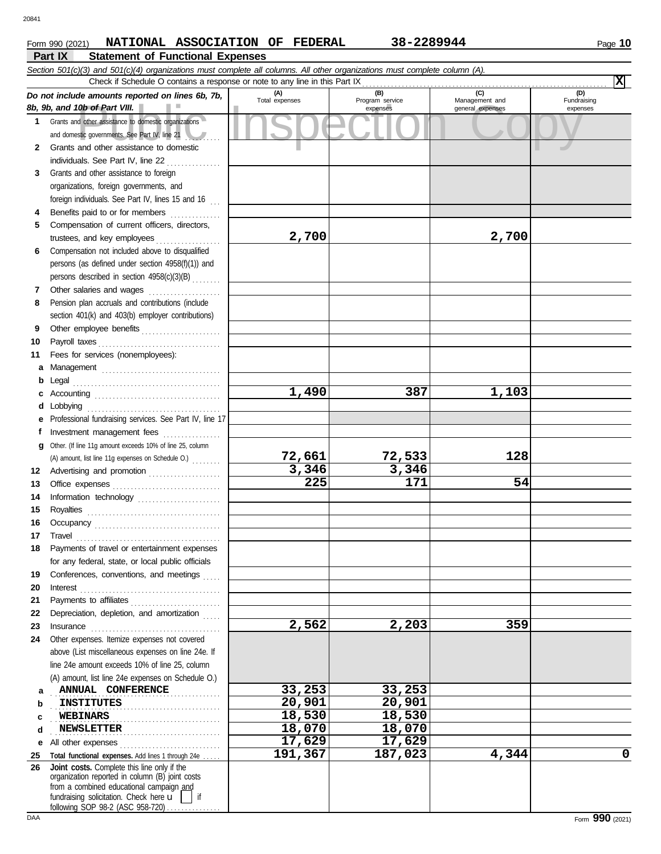#### **Part IX Statement of Functional Expenses Form 990 (2021) NATIONAL ASSOCIATION OF FEDERAL 38-2289944** Page 10

|             | Section 501(c)(3) and 501(c)(4) organizations must complete all columns. All other organizations must complete column (A).<br>Check if Schedule O contains a response or note to any line in this Part IX |                       |                                    |                                           | Ixl                            |
|-------------|-----------------------------------------------------------------------------------------------------------------------------------------------------------------------------------------------------------|-----------------------|------------------------------------|-------------------------------------------|--------------------------------|
|             | Do not include amounts reported on lines 6b, 7b,<br>8b, 9b, and 10b of Part VIII.                                                                                                                         | (A)<br>Total expenses | (B)<br>Program service<br>expenses | (C)<br>Management and<br>general expenses | (D)<br>Fundraising<br>expenses |
| $\mathbf 1$ | Grants and other assistance to domestic organizations<br>and domestic governments. See Part IV, line 21                                                                                                   |                       |                                    |                                           |                                |
| 2           | Grants and other assistance to domestic                                                                                                                                                                   |                       |                                    |                                           |                                |
| 3           | Grants and other assistance to foreign                                                                                                                                                                    |                       |                                    |                                           |                                |
|             | organizations, foreign governments, and                                                                                                                                                                   |                       |                                    |                                           |                                |
|             | foreign individuals. See Part IV, lines 15 and 16                                                                                                                                                         |                       |                                    |                                           |                                |
| 4           | Benefits paid to or for members                                                                                                                                                                           |                       |                                    |                                           |                                |
| 5           | Compensation of current officers, directors,                                                                                                                                                              |                       |                                    |                                           |                                |
|             | trustees, and key employees                                                                                                                                                                               | 2,700                 |                                    | 2,700                                     |                                |
| 6           | Compensation not included above to disqualified<br>persons (as defined under section 4958(f)(1)) and                                                                                                      |                       |                                    |                                           |                                |
|             | persons described in section 4958(c)(3)(B)                                                                                                                                                                |                       |                                    |                                           |                                |
| 7           |                                                                                                                                                                                                           |                       |                                    |                                           |                                |
| 8           | Pension plan accruals and contributions (include                                                                                                                                                          |                       |                                    |                                           |                                |
|             | section 401(k) and 403(b) employer contributions)                                                                                                                                                         |                       |                                    |                                           |                                |
| 9           | Other employee benefits                                                                                                                                                                                   |                       |                                    |                                           |                                |
| 10          |                                                                                                                                                                                                           |                       |                                    |                                           |                                |
| 11          | Fees for services (nonemployees):<br>а                                                                                                                                                                    |                       |                                    |                                           |                                |
|             | b                                                                                                                                                                                                         |                       |                                    |                                           |                                |
|             | c                                                                                                                                                                                                         | 1,490                 | 387                                | 1,103                                     |                                |
|             | Lobbying<br>d                                                                                                                                                                                             |                       |                                    |                                           |                                |
|             | Professional fundraising services. See Part IV, line 17<br>е                                                                                                                                              |                       |                                    |                                           |                                |
|             | Investment management fees<br>f                                                                                                                                                                           |                       |                                    |                                           |                                |
|             | Other. (If line 11g amount exceeds 10% of line 25, column<br>a                                                                                                                                            | 72,661                | 72,533                             | 128                                       |                                |
| 12          | (A) amount, list line 11g expenses on Schedule O.)<br>Advertising and promotion                                                                                                                           | 3,346                 | 3,346                              |                                           |                                |
| 13          |                                                                                                                                                                                                           | $\overline{225}$      | 171                                | 54                                        |                                |
| 14          |                                                                                                                                                                                                           |                       |                                    |                                           |                                |
| 15          |                                                                                                                                                                                                           |                       |                                    |                                           |                                |
| 16          |                                                                                                                                                                                                           |                       |                                    |                                           |                                |
| 17          | $\begin{minipage}{0.5\textwidth} \centering \begin{tabular}{@{}c@{}} \textbf{True} & \textbf{True} \\ \textbf{True} & \textbf{True} \\ \textbf{True} & \textbf{True} \\ \end{tabular} \end{minipage}$     |                       |                                    |                                           |                                |
| 18          | Payments of travel or entertainment expenses<br>for any federal, state, or local public officials                                                                                                         |                       |                                    |                                           |                                |
| 19          | Conferences, conventions, and meetings                                                                                                                                                                    |                       |                                    |                                           |                                |
| 20          | Interest                                                                                                                                                                                                  |                       |                                    |                                           |                                |
| 21          | Payments to affiliates                                                                                                                                                                                    |                       |                                    |                                           |                                |
| 22          | Depreciation, depletion, and amortization                                                                                                                                                                 |                       |                                    |                                           |                                |
| 23          | Insurance                                                                                                                                                                                                 | 2,562                 | 2,203                              | 359                                       |                                |
| 24          | Other expenses. Itemize expenses not covered                                                                                                                                                              |                       |                                    |                                           |                                |
|             | above (List miscellaneous expenses on line 24e. If<br>line 24e amount exceeds 10% of line 25, column                                                                                                      |                       |                                    |                                           |                                |
|             | (A) amount, list line 24e expenses on Schedule O.)                                                                                                                                                        |                       |                                    |                                           |                                |
|             | ANNUAL CONFERENCE<br>а                                                                                                                                                                                    | 33,253                | 33,253                             |                                           |                                |
|             | <b>INSTITUTES</b><br>b                                                                                                                                                                                    | 20,901                | 20,901                             |                                           |                                |
|             | <b>WEBINARS</b><br>c                                                                                                                                                                                      | 18,530                | $\overline{18}$ , 530              |                                           |                                |
|             | <b>NEWSLETTER</b><br>d                                                                                                                                                                                    | 18,070                | 18,070                             |                                           |                                |
|             | All other expenses<br>е                                                                                                                                                                                   | 17,629<br>191,367     | 17,629                             | 4,344                                     | 0                              |
| 25<br>26    | Total functional expenses. Add lines 1 through 24e<br>Joint costs. Complete this line only if the                                                                                                         |                       | 187,023                            |                                           |                                |
|             | organization reported in column (B) joint costs<br>from a combined educational campaign and<br>fundraising solicitation. Check here $\mathbf u$<br>if<br>following SOP 98.2 (ASC 958.720)                 |                       |                                    |                                           |                                |

following SOP 98-2 (ASC 958-720) . . . . . . . . . . . . . .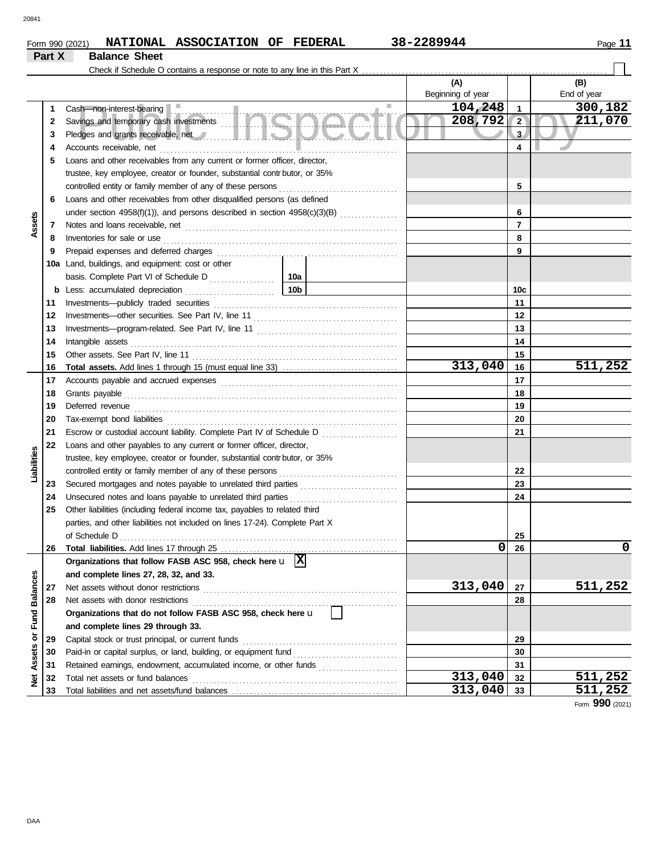#### Form 990 (2021) **NATIONAL ASSOCIATION OF FEDERAL** 38-2289944 Page 11 **NATIONAL ASSOCIATION OF FEDERAL 38-2289944**

|                      | Part X | <b>Balance Sheet</b>                                                                                                                                                                                                          |                                                                  |                   |                |             |  |
|----------------------|--------|-------------------------------------------------------------------------------------------------------------------------------------------------------------------------------------------------------------------------------|------------------------------------------------------------------|-------------------|----------------|-------------|--|
|                      |        | Check if Schedule O contains a response or note to any line in this Part X                                                                                                                                                    |                                                                  |                   |                |             |  |
|                      |        |                                                                                                                                                                                                                               |                                                                  | (A)               |                | (B)         |  |
|                      |        |                                                                                                                                                                                                                               |                                                                  | Beginning of year |                | End of year |  |
|                      | 1      | Cash-non-interest-bearing                                                                                                                                                                                                     |                                                                  | 104,248<br>a.     | 1              | 300,182     |  |
|                      | 2      | Cash—non-interest-bearing<br>Savings and temporary cash investments                                                                                                                                                           |                                                                  | 208,792           | $\sqrt{2}$     | 211,070     |  |
|                      | 3      | Pledges and grants receivable, net <b>with a strategies and grants receivable, net</b>                                                                                                                                        |                                                                  |                   | 3              |             |  |
|                      | 4      | Accounts receivable, net                                                                                                                                                                                                      |                                                                  |                   | 4              |             |  |
|                      | 5      | Loans and other receivables from any current or former officer, director,                                                                                                                                                     |                                                                  |                   |                |             |  |
|                      |        | trustee, key employee, creator or founder, substantial contributor, or 35%                                                                                                                                                    |                                                                  |                   |                |             |  |
|                      |        | controlled entity or family member of any of these persons                                                                                                                                                                    |                                                                  | 5                 |                |             |  |
|                      | 6      | Loans and other receivables from other disqualified persons (as defined                                                                                                                                                       |                                                                  |                   |                |             |  |
|                      |        |                                                                                                                                                                                                                               |                                                                  |                   | 6              |             |  |
| Assets               | 7      |                                                                                                                                                                                                                               |                                                                  |                   | $\overline{7}$ |             |  |
|                      | 8      | Inventories for sale or use                                                                                                                                                                                                   |                                                                  |                   | 8              |             |  |
|                      | 9      | Prepaid expenses and deferred charges                                                                                                                                                                                         |                                                                  |                   | 9              |             |  |
|                      | 10a    | Land, buildings, and equipment: cost or other                                                                                                                                                                                 |                                                                  |                   |                |             |  |
|                      |        | basis. Complete Part VI of Schedule D                                                                                                                                                                                         | 10a                                                              |                   |                |             |  |
|                      | b      | Less: accumulated depreciation                                                                                                                                                                                                | 10 <sub>b</sub>                                                  |                   | 10c            |             |  |
|                      | 11     | Investments-publicly traded securities                                                                                                                                                                                        |                                                                  |                   | 11             |             |  |
|                      | 12     |                                                                                                                                                                                                                               |                                                                  |                   | 12             |             |  |
|                      | 13     |                                                                                                                                                                                                                               |                                                                  |                   | 13             |             |  |
|                      | 14     | Intangible assets                                                                                                                                                                                                             |                                                                  |                   |                |             |  |
|                      | 15     |                                                                                                                                                                                                                               |                                                                  |                   | 15             |             |  |
|                      | 16     |                                                                                                                                                                                                                               |                                                                  | 313,040           | 16             | 511,252     |  |
|                      | 17     |                                                                                                                                                                                                                               |                                                                  |                   | 17             |             |  |
|                      | 18     | Grants payable                                                                                                                                                                                                                |                                                                  | 18                |                |             |  |
|                      | 19     | Deferred revenue                                                                                                                                                                                                              |                                                                  | 19                |                |             |  |
|                      | 20     | Tax-exempt bond liabilities with an according to the liabilities with an according to the set of the set of the set of the set of the set of the set of the set of the set of the set of the set of the set of the set of the |                                                                  | 20                |                |             |  |
|                      | 21     | Escrow or custodial account liability. Complete Part IV of Schedule D                                                                                                                                                         |                                                                  | 21                |                |             |  |
|                      | 22     | Loans and other payables to any current or former officer, director,                                                                                                                                                          |                                                                  |                   |                |             |  |
| Liabilities          |        | trustee, key employee, creator or founder, substantial contrbutor, or 35%                                                                                                                                                     |                                                                  |                   |                |             |  |
|                      |        | controlled entity or family member of any of these persons                                                                                                                                                                    |                                                                  | 22                |                |             |  |
|                      | 23     |                                                                                                                                                                                                                               |                                                                  | 23                |                |             |  |
|                      | 24     | Unsecured notes and loans payable to unrelated third parties                                                                                                                                                                  |                                                                  | 24                |                |             |  |
|                      | 25     | Other liabilities (including federal income tax, payables to related third                                                                                                                                                    |                                                                  |                   |                |             |  |
|                      |        | parties, and other liabilities not included on lines 17-24). Complete Part X                                                                                                                                                  |                                                                  |                   |                |             |  |
|                      |        | of Schedule D                                                                                                                                                                                                                 |                                                                  | 25                |                |             |  |
|                      | 26     |                                                                                                                                                                                                                               |                                                                  | 0                 | 26             | 0           |  |
|                      |        | Organizations that follow FASB ASC 958, check here $\mathbf{u}$ $\overline{X}$                                                                                                                                                |                                                                  |                   |                |             |  |
|                      |        | and complete lines 27, 28, 32, and 33.                                                                                                                                                                                        |                                                                  |                   |                |             |  |
|                      | 27     | Net assets without donor restrictions                                                                                                                                                                                         | 313,040                                                          | 27                | 511,252        |             |  |
|                      | 28     | Net assets with donor restrictions                                                                                                                                                                                            |                                                                  | 28                |                |             |  |
| <b>Fund Balances</b> |        | Organizations that do not follow FASB ASC 958, check here u                                                                                                                                                                   |                                                                  |                   |                |             |  |
|                      |        | and complete lines 29 through 33.                                                                                                                                                                                             |                                                                  |                   |                |             |  |
| ŏ                    | 29     | Capital stock or trust principal, or current funds                                                                                                                                                                            |                                                                  |                   | 29             |             |  |
|                      | 30     |                                                                                                                                                                                                                               |                                                                  | 30                |                |             |  |
|                      | 31     |                                                                                                                                                                                                                               | Retained earnings, endowment, accumulated income, or other funds |                   |                |             |  |
| <b>Net Assets</b>    | 32     | Total net assets or fund balances                                                                                                                                                                                             |                                                                  | 313,040           | 32             | 511,252     |  |
|                      | 33     |                                                                                                                                                                                                                               | 313,040                                                          | 33                | 511,252        |             |  |

Form **990** (2021)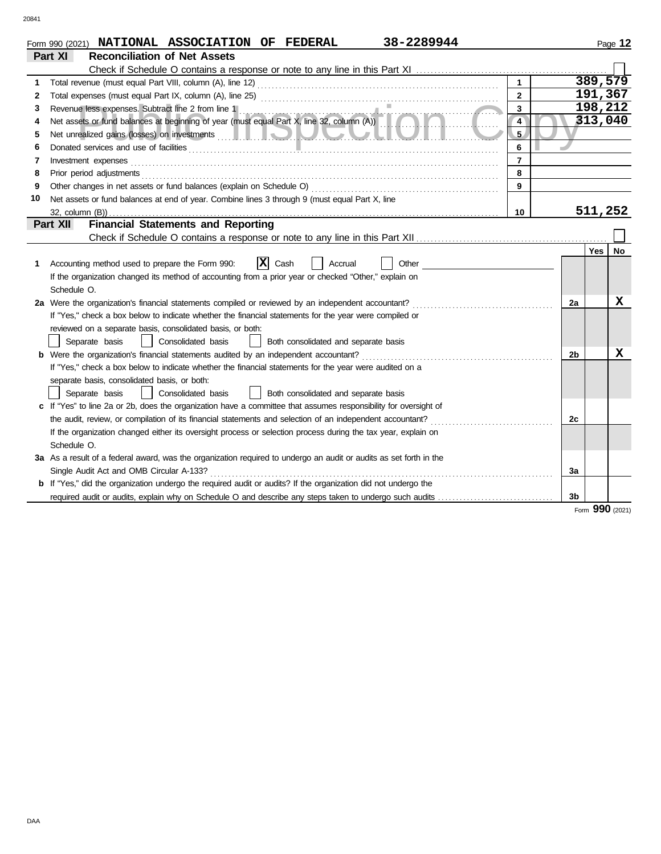| 38-2289944<br>Form 990 (2021) NATIONAL ASSOCIATION OF FEDERAL |                                                                                                                                                 |                |         |                |            | Page 12  |
|---------------------------------------------------------------|-------------------------------------------------------------------------------------------------------------------------------------------------|----------------|---------|----------------|------------|----------|
| Part XI<br><b>Reconciliation of Net Assets</b>                |                                                                                                                                                 |                |         |                |            |          |
|                                                               |                                                                                                                                                 |                |         |                |            |          |
| 1                                                             |                                                                                                                                                 |                |         |                |            | 389, 579 |
| 2                                                             |                                                                                                                                                 | $\overline{2}$ | 191,367 |                |            |          |
| 3                                                             |                                                                                                                                                 | 3              |         |                |            | 198,212  |
| 4                                                             | Revenue less expenses. Subtract line 2 from line 1<br>Net assets or fund balances at beginning of year (must equal Part X, line 32, column (A)) | 4              |         |                |            | 313,040  |
| 5                                                             |                                                                                                                                                 | 5              |         |                |            |          |
| 6                                                             |                                                                                                                                                 | 6              |         |                |            |          |
| 7                                                             | Investment expenses                                                                                                                             | $\overline{7}$ |         |                |            |          |
| 8                                                             | Prior period adjustments                                                                                                                        | 8              |         |                |            |          |
| 9                                                             | Other changes in net assets or fund balances (explain on Schedule O)                                                                            | 9              |         |                |            |          |
| 10                                                            | Net assets or fund balances at end of year. Combine lines 3 through 9 (must equal Part X, line                                                  |                |         |                |            |          |
|                                                               |                                                                                                                                                 | 10             |         |                |            | 511,252  |
|                                                               | <b>Financial Statements and Reporting</b><br>Part XII                                                                                           |                |         |                |            |          |
|                                                               |                                                                                                                                                 |                |         |                |            |          |
|                                                               |                                                                                                                                                 |                |         |                | <b>Yes</b> | No       |
| 1.                                                            | $ \mathbf{x} $<br>Cash<br>Accounting method used to prepare the Form 990:<br>Other<br>Accrual                                                   |                |         |                |            |          |
|                                                               | If the organization changed its method of accounting from a prior year or checked "Other," explain on                                           |                |         |                |            |          |
|                                                               | Schedule O.                                                                                                                                     |                |         |                |            |          |
|                                                               | 2a Were the organization's financial statements compiled or reviewed by an independent accountant?                                              |                |         |                |            | х        |
|                                                               | If "Yes," check a box below to indicate whether the financial statements for the year were compiled or                                          |                |         |                |            |          |
|                                                               | reviewed on a separate basis, consolidated basis, or both:                                                                                      |                |         |                |            |          |
|                                                               | Consolidated basis<br>Separate basis<br>Both consolidated and separate basis                                                                    |                |         |                |            |          |
|                                                               | <b>b</b> Were the organization's financial statements audited by an independent accountant?                                                     |                |         |                |            | x        |
|                                                               | If "Yes," check a box below to indicate whether the financial statements for the year were audited on a                                         |                |         |                |            |          |
|                                                               | separate basis, consolidated basis, or both:                                                                                                    |                |         |                |            |          |
|                                                               | Consolidated basis<br>Both consolidated and separate basis<br>Separate basis                                                                    |                |         |                |            |          |
|                                                               | c If "Yes" to line 2a or 2b, does the organization have a committee that assumes responsibility for oversight of                                |                |         |                |            |          |
|                                                               | the audit, review, or compilation of its financial statements and selection of an independent accountant?                                       |                |         | 2c             |            |          |
|                                                               | If the organization changed either its oversight process or selection process during the tax year, explain on                                   |                |         |                |            |          |
|                                                               | Schedule O.                                                                                                                                     |                |         |                |            |          |
|                                                               | 3a As a result of a federal award, was the organization required to undergo an audit or audits as set forth in the                              |                |         |                |            |          |
|                                                               | Single Audit Act and OMB Circular A-133?                                                                                                        |                |         |                |            |          |
|                                                               | <b>b</b> If "Yes," did the organization undergo the required audit or audits? If the organization did not undergo the                           |                |         |                |            |          |
|                                                               | required audit or audits, explain why on Schedule O and describe any steps taken to undergo such audits                                         |                |         | 3 <sub>b</sub> |            |          |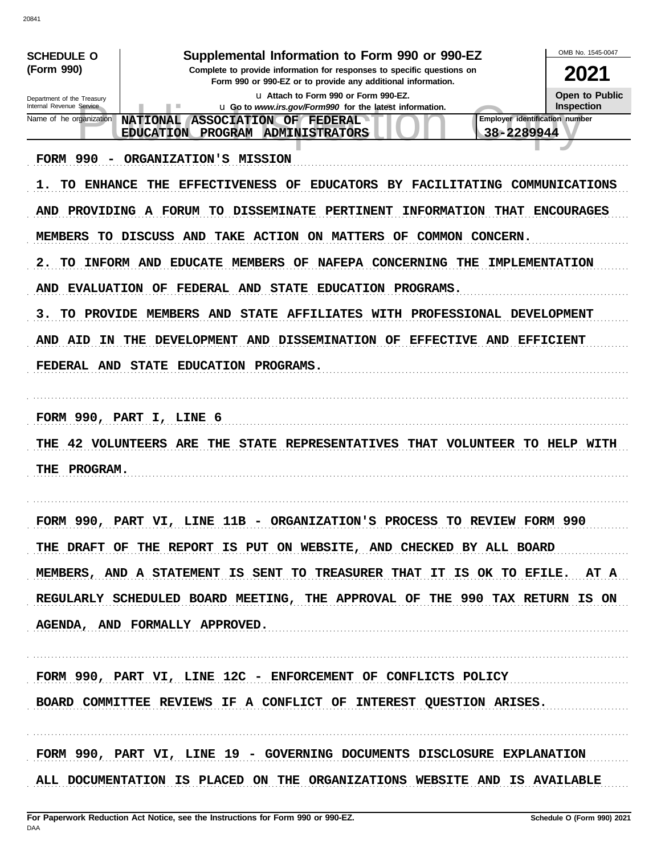| <b>SCHEDULE O</b><br>(Form 990)<br>Department of the Treasury<br>Internal Revenue Service<br>Name of he organization | Supplemental Information to Form 990 or 990-EZ<br>Complete to provide information for responses to specific questions on<br>Form 990 or 990-EZ or to provide any additional information.<br>u Attach to Form 990 or Form 990-EZ.<br><b>u</b> Go to www.irs.gov/Form990 for the latest information.<br>٠<br><b>Employer identification number</b><br><b>NATIONAL</b><br>ASSOCIATION OF FEDERAL<br><b>ADMINISTRATORS</b><br>38-2289944<br><b>EDUCATION</b><br><b>PROGRAM</b> | OMB No. 1545-0047<br>2021<br>Open to Public<br><b>Inspection</b> |
|----------------------------------------------------------------------------------------------------------------------|----------------------------------------------------------------------------------------------------------------------------------------------------------------------------------------------------------------------------------------------------------------------------------------------------------------------------------------------------------------------------------------------------------------------------------------------------------------------------|------------------------------------------------------------------|
| FORM 990                                                                                                             | ORGANIZATION'S MISSION                                                                                                                                                                                                                                                                                                                                                                                                                                                     |                                                                  |
| ENHANCE<br>ı.<br>TO                                                                                                  | <b>EFFECTIVENESS</b><br>OF<br><b>EDUCATORS</b><br>BY.<br>FACILITATING COMMUNICATIONS<br>THE                                                                                                                                                                                                                                                                                                                                                                                |                                                                  |
| AND<br><b>PROVIDING</b>                                                                                              | A FORUM<br><b>DISSEMINATE</b><br>TО<br><b>PERTINENT</b><br><b>INFORMATION</b><br><b>THAT</b>                                                                                                                                                                                                                                                                                                                                                                               | <b>ENCOURAGES</b>                                                |
| <b>MEMBERS</b><br>TO .                                                                                               | <b>DISCUSS</b><br>AND<br><b>TAKE</b><br><b>ACTION</b><br>ON<br><b>MATTERS</b><br>OF<br>COMMON<br>CONCERN.                                                                                                                                                                                                                                                                                                                                                                  |                                                                  |
| 2.<br>TО                                                                                                             | INFORM AND<br><b>CONCERNING</b><br><b>EDUCATE</b><br>MEMBERS<br>OF<br><b>NAFEPA</b><br>-THE                                                                                                                                                                                                                                                                                                                                                                                | <b>IMPLEMENTATION</b>                                            |
| AND<br><b>EVALUATION</b>                                                                                             | EDUCATION PROGRAMS.<br>OF<br><b>FEDERAL</b><br>AND<br><b>STATE</b>                                                                                                                                                                                                                                                                                                                                                                                                         |                                                                  |
| <b>PROVIDE</b><br>з.<br>TO                                                                                           | MEMBERS<br>AND<br><b>STATE</b><br><b>AFFILIATES</b><br>PROFESSIONAL DEVELOPMENT<br>WITH                                                                                                                                                                                                                                                                                                                                                                                    |                                                                  |
| AND<br>AID<br>ΙN                                                                                                     | DISSEMINATION OF<br><b>DEVELOPMENT</b><br><b>AND</b><br>EFFECTIVE AND<br>THE                                                                                                                                                                                                                                                                                                                                                                                               | <b>EFFICIENT</b>                                                 |
| FEDERAL AND                                                                                                          | <b>STATE</b><br>EDUCATION PROGRAMS.                                                                                                                                                                                                                                                                                                                                                                                                                                        |                                                                  |
| 42 VOLUNTEERS<br>THE<br>PROGRAM.<br>THE                                                                              | ARE<br>THE<br><b>STATE</b><br><b>REPRESENTATIVES</b><br>THAT<br>VOLUNTEER TO HELP WITH                                                                                                                                                                                                                                                                                                                                                                                     |                                                                  |
|                                                                                                                      | FORM 990, PART VI, LINE 11B - ORGANIZATION'S PROCESS TO REVIEW FORM 990                                                                                                                                                                                                                                                                                                                                                                                                    |                                                                  |
|                                                                                                                      | THE DRAFT OF THE REPORT IS PUT ON WEBSITE, AND CHECKED BY ALL BOARD                                                                                                                                                                                                                                                                                                                                                                                                        |                                                                  |
|                                                                                                                      | MEMBERS, AND A STATEMENT IS SENT TO TREASURER THAT IT IS OK TO EFILE. AT A                                                                                                                                                                                                                                                                                                                                                                                                 |                                                                  |
|                                                                                                                      | REGULARLY SCHEDULED BOARD MEETING, THE APPROVAL OF THE 990 TAX RETURN IS ON                                                                                                                                                                                                                                                                                                                                                                                                |                                                                  |
|                                                                                                                      | AGENDA, AND FORMALLY APPROVED.                                                                                                                                                                                                                                                                                                                                                                                                                                             |                                                                  |
|                                                                                                                      | FORM 990, PART VI, LINE 12C - ENFORCEMENT OF CONFLICTS POLICY                                                                                                                                                                                                                                                                                                                                                                                                              |                                                                  |
|                                                                                                                      | BOARD COMMITTEE REVIEWS IF A CONFLICT OF INTEREST QUESTION ARISES.                                                                                                                                                                                                                                                                                                                                                                                                         |                                                                  |
|                                                                                                                      | FORM 990, PART VI, LINE 19 - GOVERNING DOCUMENTS DISCLOSURE EXPLANATION                                                                                                                                                                                                                                                                                                                                                                                                    |                                                                  |
|                                                                                                                      | ALL DOCUMENTATION IS PLACED ON THE ORGANIZATIONS WEBSITE AND IS AVAILABLE                                                                                                                                                                                                                                                                                                                                                                                                  |                                                                  |

20841